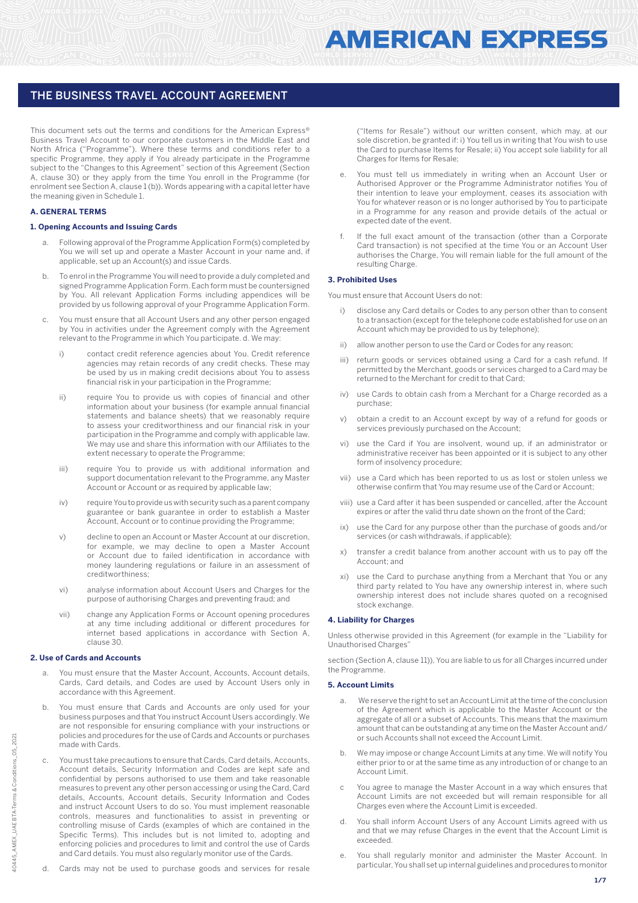This document sets out the terms and conditions for the American Express® Business Travel Account to our corporate customers in the Middle East and North Africa ("Programme"). Where these terms and conditions refer to a specific Programme, they apply if You already participate in the Programme subject to the "Changes to this Agreement" section of this Agreement (Section A, clause 30) or they apply from the time You enroll in the Programme (for enrolment see Section A, clause 1 (b)). Words appearing with a capital letter have the meaning given in Schedule 1.

## **A. GENERAL TERMS**

#### **1. Opening Accounts and Issuing Cards**

- Following approval of the Programme Application Form(s) completed by You we will set up and operate a Master Account in your name and, if applicable, set up an Account(s) and issue Cards.
- b. To enrol in the Programme You will need to provide a duly completed and signed Programme Application Form. Each form must be countersigned by You. All relevant Application Forms including appendices will be provided by us following approval of your Programme Application Form.
- c. You must ensure that all Account Users and any other person engaged by You in activities under the Agreement comply with the Agreement relevant to the Programme in which You participate. d. We may:
	- i) contact credit reference agencies about You. Credit reference agencies may retain records of any credit checks. These may be used by us in making credit decisions about You to assess financial risk in your participation in the Programme;
	- ii) require You to provide us with copies of financial and other information about your business (for example annual financial statements and balance sheets) that we reasonably require to assess your creditworthiness and our financial risk in your participation in the Programme and comply with applicable law. We may use and share this information with our Affiliates to the extent necessary to operate the Programme;
	- iii) require You to provide us with additional information and support documentation relevant to the Programme, any Master Account or Account or as required by applicable law;
	- iv) require You to provide us with security such as a parent company guarantee or bank guarantee in order to establish a Master Account, Account or to continue providing the Programme;
	- v) decline to open an Account or Master Account at our discretion, for example, we may decline to open a Master Account or Account due to failed identification in accordance with money laundering regulations or failure in an assessment of creditworthiness;
	- vi) analyse information about Account Users and Charges for the purpose of authorising Charges and preventing fraud; and
	- vii) change any Application Forms or Account opening procedures at any time including additional or different procedures for internet based applications in accordance with Section A, clause 30.

#### **2. Use of Cards and Accounts**

- You must ensure that the Master Account, Accounts, Account details, Cards, Card details, and Codes are used by Account Users only in accordance with this Agreement.
- You must ensure that Cards and Accounts are only used for your business purposes and that You instruct Account Users accordingly. We are not responsible for ensuring compliance with your instructions or policies and procedures for the use of Cards and Accounts or purchases made with Cards.
- You must take precautions to ensure that Cards, Card details, Accounts, Account details, Security Information and Codes are kept safe and confidential by persons authorised to use them and take reasonable measures to prevent any other person accessing or using the Card, Card details, Accounts, Account details, Security Information and Codes and instruct Account Users to do so. You must implement reasonable controls, measures and functionalities to assist in preventing or controlling misuse of Cards (examples of which are contained in the Specific Terms). This includes but is not limited to, adopting and enforcing policies and procedures to limit and control the use of Cards and Card details. You must also regularly monitor use of the Cards.
- d. Cards may not be used to purchase goods and services for resale

("Items for Resale") without our written consent, which may, at our sole discretion, be granted if: i) You tell us in writing that You wish to use the Card to purchase Items for Resale; ii) You accept sole liability for all Charges for Items for Resale;

- You must tell us immediately in writing when an Account User or Authorised Approver or the Programme Administrator notifies You of their intention to leave your employment, ceases its association with You for whatever reason or is no longer authorised by You to participate in a Programme for any reason and provide details of the actual or expected date of the event.
- If the full exact amount of the transaction (other than a Corporate Card transaction) is not specified at the time You or an Account User authorises the Charge, You will remain liable for the full amount of the resulting Charge.

#### **3. Prohibited Uses**

You must ensure that Account Users do not:

- i) disclose any Card details or Codes to any person other than to consent to a transaction (except for the telephone code established for use on an Account which may be provided to us by telephone);
- ii) allow another person to use the Card or Codes for any reason;
- iii) return goods or services obtained using a Card for a cash refund. If permitted by the Merchant, goods or services charged to a Card may be returned to the Merchant for credit to that Card;
- use Cards to obtain cash from a Merchant for a Charge recorded as a purchase;
- obtain a credit to an Account except by way of a refund for goods or services previously purchased on the Account;
- vi) use the Card if You are insolvent, wound up, if an administrator or administrative receiver has been appointed or it is subject to any other form of insolvency procedure;
- vii) use a Card which has been reported to us as lost or stolen unless we otherwise confirm that You may resume use of the Card or Account;
- viii) use a Card after it has been suspended or cancelled, after the Account expires or after the valid thru date shown on the front of the Card;
- ix) use the Card for any purpose other than the purchase of goods and/or services (or cash withdrawals, if applicable);
- x) transfer a credit balance from another account with us to pay off the Account; and
- xi) use the Card to purchase anything from a Merchant that You or any third party related to You have any ownership interest in, where such ownership interest does not include shares quoted on a recognised stock exchange.

## **4. Liability for Charges**

Unless otherwise provided in this Agreement (for example in the "Liability for Unauthorised Charges"

section (Section A, clause 11)), You are liable to us for all Charges incurred under the Programme.

#### **5. Account Limits**

- We reserve the right to set an Account Limit at the time of the conclusion of the Agreement which is applicable to the Master Account or the aggregate of all or a subset of Accounts. This means that the maximum amount that can be outstanding at any time on the Master Account and/ or such Accounts shall not exceed the Account Limit.
- b. We may impose or change Account Limits at any time. We will notify You either prior to or at the same time as any introduction of or change to an Account Limit.
- You agree to manage the Master Account in a way which ensures that Account Limits are not exceeded but will remain responsible for all Charges even where the Account Limit is exceeded.
- You shall inform Account Users of any Account Limits agreed with us and that we may refuse Charges in the event that the Account Limit is exceeded.
- e. You shall regularly monitor and administer the Master Account. In particular, You shall set up internal guidelines and procedures to monitor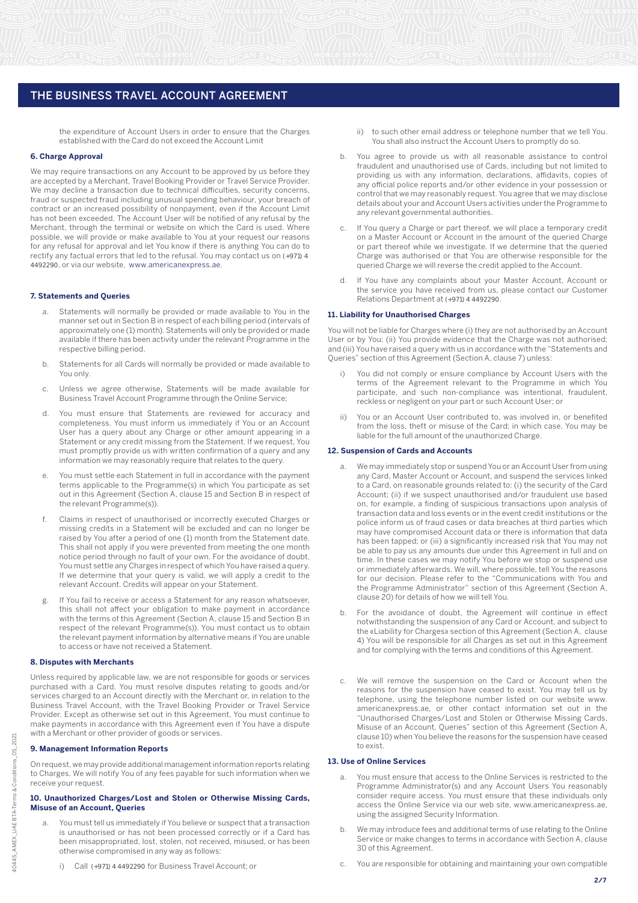the expenditure of Account Users in order to ensure that the Charges established with the Card do not exceed the Account Limit

#### **6. Charge Approval**

We may require transactions on any Account to be approved by us before they are accepted by a Merchant, Travel Booking Provider or Travel Service Provider. We may decline a transaction due to technical difficulties, security concerns, fraud or suspected fraud including unusual spending behaviour, your breach of contract or an increased possibility of nonpayment, even if the Account Limit has not been exceeded. The Account User will be notified of any refusal by the Merchant, through the terminal or website on which the Card is used. Where possible, we will provide or make available to You at your request our reasons for any refusal for approval and let You know if there is anything You can do to rectify any factual errors that led to the refusal. You may contact us on (+971) 4 4492290, or via our website, www.americanexpress.ae.

#### **7. Statements and Queries**

- Statements will normally be provided or made available to You in the manner set out in Section B in respect of each billing period (intervals of approximately one (1) month). Statements will only be provided or made available if there has been activity under the relevant Programme in the respective billing period.
- b. Statements for all Cards will normally be provided or made available to You only.
- c. Unless we agree otherwise, Statements will be made available for Business Travel Account Programme through the Online Service;
- d. You must ensure that Statements are reviewed for accuracy and completeness. You must inform us immediately if You or an Account User has a query about any Charge or other amount appearing in a Statement or any credit missing from the Statement. If we request, You must promptly provide us with written confirmation of a query and any information we may reasonably require that relates to the query.
- e. You must settle each Statement in full in accordance with the payment terms applicable to the Programme(s) in which You participate as set out in this Agreement (Section A, clause 15 and Section B in respect of the relevant Programme(s)).
- f. Claims in respect of unauthorised or incorrectly executed Charges or missing credits in a Statement will be excluded and can no longer be raised by You after a period of one (1) month from the Statement date. This shall not apply if you were prevented from meeting the one month notice period through no fault of your own. For the avoidance of doubt, You must settle any Charges in respect of which You have raised a query. If we determine that your query is valid, we will apply a credit to the relevant Account. Credits will appear on your Statement.
- If You fail to receive or access a Statement for any reason whatsoever, this shall not affect your obligation to make payment in accordance with the terms of this Agreement (Section A, clause 15 and Section B in respect of the relevant Programme(s)). You must contact us to obtain the relevant payment information by alternative means if You are unable to access or have not received a Statement.

#### **8. Disputes with Merchants**

Unless required by applicable law, we are not responsible for goods or services purchased with a Card. You must resolve disputes relating to goods and/or services charged to an Account directly with the Merchant or, in relation to the Business Travel Account, with the Travel Booking Provider or Travel Service Provider. Except as otherwise set out in this Agreement, You must continue to make payments in accordance with this Agreement even if You have a dispute with a Merchant or other provider of goods or services.

#### **9. Management Information Reports**

On request, we may provide additional management information reports relating to Charges. We will notify You of any fees payable for such information when we receive your request.

#### **10. Unauthorized Charges/Lost and Stolen or Otherwise Missing Cards, Misuse of an Account, Queries**

- You must tell us immediately if You believe or suspect that a transaction is unauthorised or has not been processed correctly or if a Card has been misappropriated, lost, stolen, not received, misused, or has been otherwise compromised in any way as follows:
	- Call (+971) 4 4492290 for Business Travel Account; or
- ii) to such other email address or telephone number that we tell You. You shall also instruct the Account Users to promptly do so.
- b. You agree to provide us with all reasonable assistance to control fraudulent and unauthorised use of Cards, including but not limited to providing us with any information, declarations, affidavits, copies of any official police reports and/or other evidence in your possession or control that we may reasonably request. You agree that we may disclose details about your and Account Users activities under the Programme to any relevant governmental authorities.
- If You query a Charge or part thereof, we will place a temporary credit on a Master Account or Account in the amount of the queried Charge or part thereof while we investigate. If we determine that the queried Charge was authorised or that You are otherwise responsible for the queried Charge we will reverse the credit applied to the Account.
- d. If You have any complaints about your Master Account, Account or the service you have received from us, please contact our Customer Relations Department at (+971) 4 4492290.

#### **11. Liability for Unauthorised Charges**

You will not be liable for Charges where (i) they are not authorised by an Account User or by You; (ii) You provide evidence that the Charge was not authorised; and (iii) You have raised a query with us in accordance with the "Statements and Queries" section of this Agreement (Section A, clause 7) unless:

- You did not comply or ensure compliance by Account Users with the terms of the Agreement relevant to the Programme in which You participate, and such non-compliance was intentional, fraudulent, reckless or negligent on your part or such Account User; or
- ii) You or an Account User contributed to, was involved in, or benefited from the loss, theft or misuse of the Card; in which case, You may be liable for the full amount of the unauthorized Charge.

#### **12. Suspension of Cards and Accounts**

- a. We may immediately stop or suspend You or an Account User from using any Card, Master Account or Account, and suspend the services linked to a Card, on reasonable grounds related to: (i) the security of the Card Account; (ii) if we suspect unauthorised and/or fraudulent use based on, for example, a finding of suspicious transactions upon analysis of transaction data and loss events or in the event credit institutions or the police inform us of fraud cases or data breaches at third parties which may have compromised Account data or there is information that data has been tapped; or (iii) a significantly increased risk that You may not be able to pay us any amounts due under this Agreement in full and on time. In these cases we may notify You before we stop or suspend use or immediately afterwards. We will, where possible, tell You the reasons for our decision. Please refer to the "Communications with You and the Programme Administrator" section of this Agreement (Section A, clause 20) for details of how we will tell You.
- b. For the avoidance of doubt, the Agreement will continue in effect notwithstanding the suspension of any Card or Account, and subject to the «Liability for Charges» section of this Agreement (Section A, clause 4) You will be responsible for all Charges as set out in this Agreement and for complying with the terms and conditions of this Agreement.
- c. We will remove the suspension on the Card or Account when the reasons for the suspension have ceased to exist. You may tell us by telephone, using the telephone number listed on our website www. americanexpress.ae, or other contact information set out in the "Unauthorised Charges/Lost and Stolen or Otherwise Missing Cards, Misuse of an Account, Queries" section of this Agreement (Section A, clause 10) when You believe the reasons for the suspension have ceased to exist.

#### **13. Use of Online Services**

- a. You must ensure that access to the Online Services is restricted to the Programme Administrator(s) and any Account Users You reasonably consider require access. You must ensure that these individuals only access the Online Service via our web site, www.americanexpress.ae, using the assigned Security Information.
- b. We may introduce fees and additional terms of use relating to the Online Service or make changes to terms in accordance with Section A, clause 30 of this Agreement.
- You are responsible for obtaining and maintaining your own compatible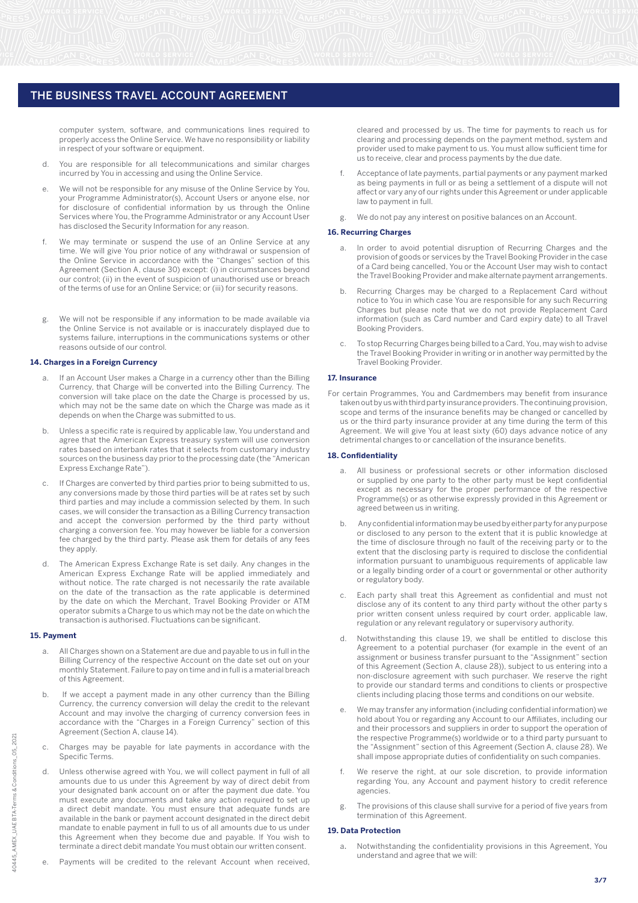computer system, software, and communications lines required to properly access the Online Service. We have no responsibility or liability in respect of your software or equipment.

- d. You are responsible for all telecommunications and similar charges incurred by You in accessing and using the Online Service.
- e. We will not be responsible for any misuse of the Online Service by You, your Programme Administrator(s), Account Users or anyone else, nor for disclosure of confidential information by us through the Online Services where You, the Programme Administrator or any Account User has disclosed the Security Information for any reason.
- f. We may terminate or suspend the use of an Online Service at any time. We will give You prior notice of any withdrawal or suspension of the Online Service in accordance with the "Changes" section of this Agreement (Section A, clause 30) except: (i) in circumstances beyond our control; (ii) in the event of suspicion of unauthorised use or breach of the terms of use for an Online Service; or (iii) for security reasons.
- g. We will not be responsible if any information to be made available via the Online Service is not available or is inaccurately displayed due to systems failure, interruptions in the communications systems or other reasons outside of our control.

#### **14. Charges in a Foreign Currency**

- If an Account User makes a Charge in a currency other than the Billing Currency, that Charge will be converted into the Billing Currency. The conversion will take place on the date the Charge is processed by us, which may not be the same date on which the Charge was made as it depends on when the Charge was submitted to us.
- b. Unless a specific rate is required by applicable law, You understand and agree that the American Express treasury system will use conversion rates based on interbank rates that it selects from customary industry sources on the business day prior to the processing date (the "American Express Exchange Rate").
- If Charges are converted by third parties prior to being submitted to us, any conversions made by those third parties will be at rates set by such third parties and may include a commission selected by them. In such cases, we will consider the transaction as a Billing Currency transaction and accept the conversion performed by the third party without charging a conversion fee. You may however be liable for a conversion fee charged by the third party. Please ask them for details of any fees they apply.
- d. The American Express Exchange Rate is set daily. Any changes in the American Express Exchange Rate will be applied immediately and without notice. The rate charged is not necessarily the rate available on the date of the transaction as the rate applicable is determined by the date on which the Merchant, Travel Booking Provider or ATM operator submits a Charge to us which may not be the date on which the transaction is authorised. Fluctuations can be significant.

#### **15. Payment**

- a. All Charges shown on a Statement are due and payable to us in full in the Billing Currency of the respective Account on the date set out on your monthly Statement. Failure to pay on time and in full is a material breach of this Agreement.
- b. If we accept a payment made in any other currency than the Billing Currency, the currency conversion will delay the credit to the relevant Account and may involve the charging of currency conversion fees in accordance with the "Charges in a Foreign Currency" section of this Agreement (Section A, clause 14).
- c. Charges may be payable for late payments in accordance with the Specific Terms.
- d. Unless otherwise agreed with You, we will collect payment in full of all amounts due to us under this Agreement by way of direct debit from your designated bank account on or after the payment due date. You must execute any documents and take any action required to set up a direct debit mandate. You must ensure that adequate funds are available in the bank or payment account designated in the direct debit mandate to enable payment in full to us of all amounts due to us under this Agreement when they become due and payable. If You wish to terminate a direct debit mandate You must obtain our written consent.
- Payments will be credited to the relevant Account when received.

cleared and processed by us. The time for payments to reach us for clearing and processing depends on the payment method, system and provider used to make payment to us. You must allow sufficient time for us to receive, clear and process payments by the due date.

- f. Acceptance of late payments, partial payments or any payment marked as being payments in full or as being a settlement of a dispute will not affect or vary any of our rights under this Agreement or under applicable law to payment in full.
- g. We do not pay any interest on positive balances on an Account.

#### **16. Recurring Charges**

- a. In order to avoid potential disruption of Recurring Charges and the provision of goods or services by the Travel Booking Provider in the case of a Card being cancelled, You or the Account User may wish to contact the Travel Booking Provider and make alternate payment arrangements.
- b. Recurring Charges may be charged to a Replacement Card without notice to You in which case You are responsible for any such Recurring Charges but please note that we do not provide Replacement Card information (such as Card number and Card expiry date) to all Travel Booking Providers.
- c. To stop Recurring Charges being billed to a Card, You, may wish to advise the Travel Booking Provider in writing or in another way permitted by the Travel Booking Provider.

#### **17. Insurance**

For certain Programmes, You and Cardmembers may benefit from insurance taken out by us with third party insurance providers. The continuing provision, scope and terms of the insurance benefits may be changed or cancelled by us or the third party insurance provider at any time during the term of this Agreement. We will give You at least sixty (60) days advance notice of any detrimental changes to or cancellation of the insurance benefits.

#### **18. Confidentiality**

- a. All business or professional secrets or other information disclosed or supplied by one party to the other party must be kept confidential except as necessary for the proper performance of the respective Programme(s) or as otherwise expressly provided in this Agreement or agreed between us in writing.
- b. Any confidential information may be used by either party for any purpose or disclosed to any person to the extent that it is public knowledge at the time of disclosure through no fault of the receiving party or to the extent that the disclosing party is required to disclose the confidential information pursuant to unambiguous requirements of applicable law or a legally binding order of a court or governmental or other authority or regulatory body.
- Each party shall treat this Agreement as confidential and must not disclose any of its content to any third party without the other party s prior written consent unless required by court order, applicable law, regulation or any relevant regulatory or supervisory authority.
- d. Notwithstanding this clause 19, we shall be entitled to disclose this Agreement to a potential purchaser (for example in the event of an assignment or business transfer pursuant to the "Assignment" section of this Agreement (Section A, clause 28)), subject to us entering into a non-disclosure agreement with such purchaser. We reserve the right to provide our standard terms and conditions to clients or prospective clients including placing those terms and conditions on our website.
- We may transfer any information (including confidential information) we hold about You or regarding any Account to our Affiliates, including our and their processors and suppliers in order to support the operation of the respective Programme(s) worldwide or to a third party pursuant to the "Assignment" section of this Agreement (Section A, clause 28). We shall impose appropriate duties of confidentiality on such companies.
- f. We reserve the right, at our sole discretion, to provide information regarding You, any Account and payment history to credit reference agencies.
- g. The provisions of this clause shall survive for a period of five years from termination of this Agreement.

#### **19. Data Protection**

Notwithstanding the confidentiality provisions in this Agreement, You understand and agree that we will: a.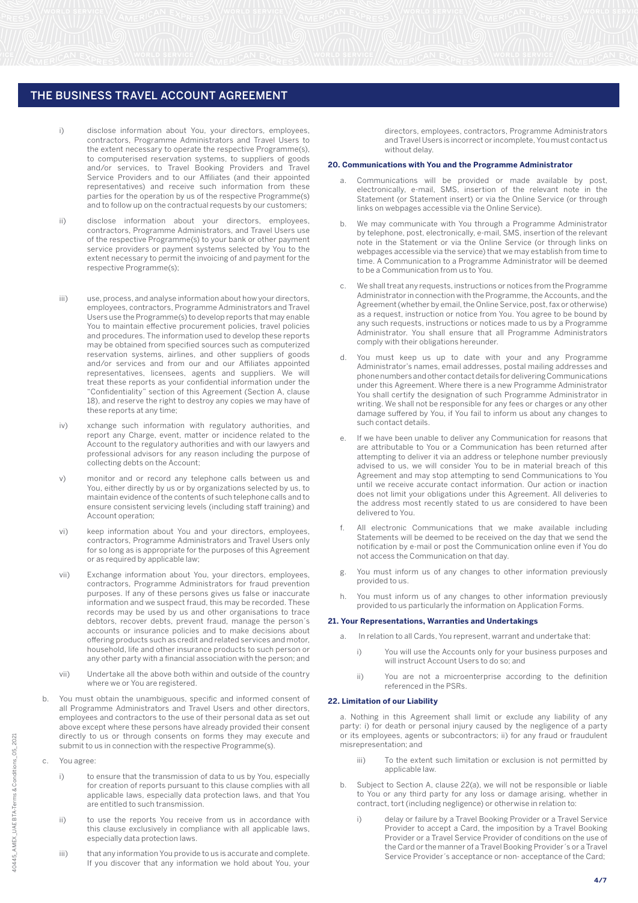- i) disclose information about You, your directors, employees, contractors, Programme Administrators and Travel Users to the extent necessary to operate the respective Programme(s), to computerised reservation systems, to suppliers of goods and/or services, to Travel Booking Providers and Travel Service Providers and to our Affiliates (and their appointed representatives) and receive such information from these parties for the operation by us of the respective Programme(s) and to follow up on the contractual requests by our customers;
- ii) disclose information about your directors, employees, contractors, Programme Administrators, and Travel Users use of the respective Programme(s) to your bank or other payment service providers or payment systems selected by You to the extent necessary to permit the invoicing of and payment for the respective Programme(s);
- iii) use, process, and analyse information about how your directors, employees, contractors, Programme Administrators and Travel Users use the Programme(s) to develop reports that may enable You to maintain effective procurement policies, travel policies and procedures. The information used to develop these reports may be obtained from specified sources such as computerized reservation systems, airlines, and other suppliers of goods and/or services and from our and our Affiliates appointed representatives, licensees, agents and suppliers. We will treat these reports as your confidential information under the "Confidentiality" section of this Agreement (Section A, clause 18), and reserve the right to destroy any copies we may have of these reports at any time;
- iv) xchange such information with regulatory authorities, and report any Charge, event, matter or incidence related to the Account to the regulatory authorities and with our lawyers and professional advisors for any reason including the purpose of collecting debts on the Account;
- v) monitor and or record any telephone calls between us and You, either directly by us or by organizations selected by us, to maintain evidence of the contents of such telephone calls and to ensure consistent servicing levels (including staff training) and Account operation;
- vi) keep information about You and your directors, employees, contractors, Programme Administrators and Travel Users only for so long as is appropriate for the purposes of this Agreement or as required by applicable law;
- vii) Exchange information about You, your directors, employees, contractors, Programme Administrators for fraud prevention purposes. If any of these persons gives us false or inaccurate information and we suspect fraud, this may be recorded. These records may be used by us and other organisations to trace debtors, recover debts, prevent fraud, manage the person´s accounts or insurance policies and to make decisions about offering products such as credit and related services and motor, household, life and other insurance products to such person or any other party with a financial association with the person; and
- vii) Undertake all the above both within and outside of the country where we or You are registered.
- b. You must obtain the unambiguous, specific and informed consent of all Programme Administrators and Travel Users and other directors, employees and contractors to the use of their personal data as set out above except where these persons have already provided their consent directly to us or through consents on forms they may execute and submit to us in connection with the respective Programme(s).
- c. You agree:
	- i) to ensure that the transmission of data to us by You, especially for creation of reports pursuant to this clause complies with all applicable laws, especially data protection laws, and that You are entitled to such transmission.
	- ii) to use the reports You receive from us in accordance with this clause exclusively in compliance with all applicable laws, especially data protection laws.
	- iii) that any information You provide to us is accurate and complete. If you discover that any information we hold about You, your

directors, employees, contractors, Programme Administrators and Travel Users is incorrect or incomplete, You must contact us without delay.

#### **20. Communications with You and the Programme Administrator**

- Communications will be provided or made available by post, electronically, e-mail, SMS, insertion of the relevant note in the Statement (or Statement insert) or via the Online Service (or through links on webpages accessible via the Online Service).
- b. We may communicate with You through a Programme Administrator by telephone, post, electronically, e-mail, SMS, insertion of the relevant note in the Statement or via the Online Service (or through links on webpages accessible via the service) that we may establish from time to time. A Communication to a Programme Administrator will be deemed to be a Communication from us to You.
- We shall treat any requests, instructions or notices from the Programme Administrator in connection with the Programme, the Accounts, and the Agreement (whether by email, the Online Service, post, fax or otherwise) as a request, instruction or notice from You. You agree to be bound by any such requests, instructions or notices made to us by a Programme Administrator. You shall ensure that all Programme Administrators comply with their obligations hereunder.
- You must keep us up to date with your and any Programme Administrator's names, email addresses, postal mailing addresses and phone numbers and other contact details for delivering Communications under this Agreement. Where there is a new Programme Administrator You shall certify the designation of such Programme Administrator in writing. We shall not be responsible for any fees or charges or any other damage suffered by You, if You fail to inform us about any changes to such contact details.
- e. If we have been unable to deliver any Communication for reasons that are attributable to You or a Communication has been returned after attempting to deliver it via an address or telephone number previously advised to us, we will consider You to be in material breach of this Agreement and may stop attempting to send Communications to You until we receive accurate contact information. Our action or inaction does not limit your obligations under this Agreement. All deliveries to the address most recently stated to us are considered to have been delivered to You.
- f. All electronic Communications that we make available including Statements will be deemed to be received on the day that we send the notification by e-mail or post the Communication online even if You do not access the Communication on that day.
- g. You must inform us of any changes to other information previously provided to us.
- You must inform us of any changes to other information previously provided to us particularly the information on Application Forms.

#### **21. Your Representations, Warranties and Undertakings**

- In relation to all Cards, You represent, warrant and undertake that:
- i) You will use the Accounts only for your business purposes and will instruct Account Users to do so; and
- ii) You are not a microenterprise according to the definition referenced in the PSRs.

#### **22. Limitation of our Liability**

a. Nothing in this Agreement shall limit or exclude any liability of any party: i) for death or personal injury caused by the negligence of a party or its employees, agents or subcontractors; ii) for any fraud or fraudulent misrepresentation; and

- iii) To the extent such limitation or exclusion is not permitted by applicable law
- b. Subject to Section A, clause 22(a), we will not be responsible or liable to You or any third party for any loss or damage arising, whether in contract, tort (including negligence) or otherwise in relation to:
	- i) delay or failure by a Travel Booking Provider or a Travel Service Provider to accept a Card, the imposition by a Travel Booking Provider or a Travel Service Provider of conditions on the use of the Card or the manner of a Travel Booking Provider´s or a Travel Service Provider´s acceptance or non- acceptance of the Card;

**4/7**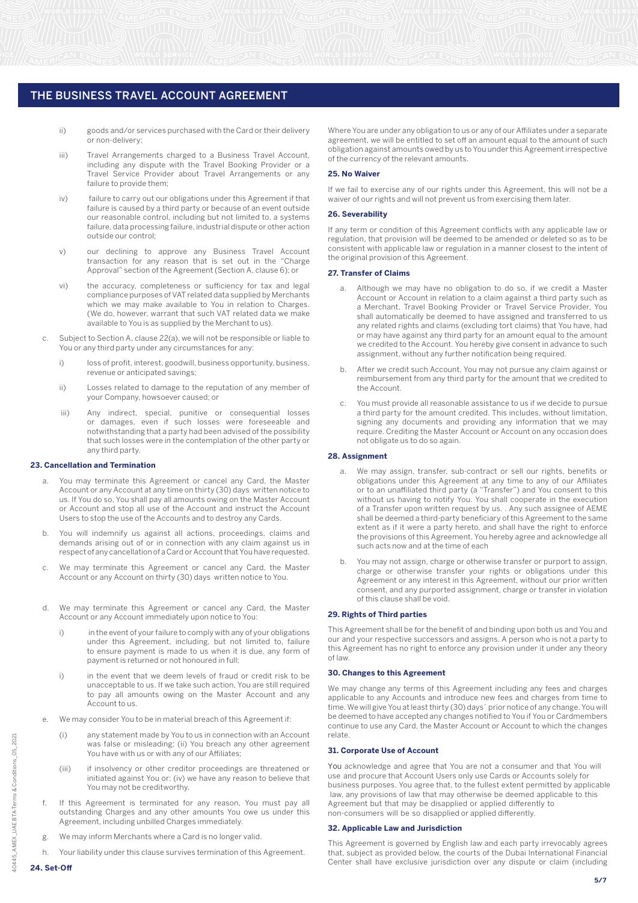- ii) goods and/or services purchased with the Card or their delivery or non-delivery;
- iii) Travel Arrangements charged to a Business Travel Account, including any dispute with the Travel Booking Provider or a Travel Service Provider about Travel Arrangements or any failure to provide them;
- iv) failure to carry out our obligations under this Agreement if that failure is caused by a third party or because of an event outside our reasonable control, including but not limited to, a systems failure, data processing failure, industrial dispute or other action outside our control;
- v) our declining to approve any Business Travel Account transaction for any reason that is set out in the "Charge Approval" section of the Agreement (Section A, clause 6); or
- vi) the accuracy, completeness or sufficiency for tax and legal compliance purposes of VAT related data supplied by Merchants which we may make available to You in relation to Charges. (We do, however, warrant that such VAT related data we make available to You is as supplied by the Merchant to us).
- c. Subject to Section A, clause 22(a), we will not be responsible or liable to You or any third party under any circumstances for any:
	- i) loss of profit, interest, goodwill, business opportunity, business, revenue or anticipated savings;
	- ii) Losses related to damage to the reputation of any member of your Company, howsoever caused; or
- iii) Any indirect, special, punitive or consequential losses or damages, even if such losses were foreseeable and notwithstanding that a party had been advised of the possibility that such losses were in the contemplation of the other party or any third party.

#### **23. Cancellation and Termination**

- You may terminate this Agreement or cancel any Card, the Master Account or any Account at any time on thirty (30) days written notice to us. If You do so, You shall pay all amounts owing on the Master Account or Account and stop all use of the Account and instruct the Account Users to stop the use of the Accounts and to destroy any Cards.
- b. You will indemnify us against all actions, proceedings, claims and demands arising out of or in connection with any claim against us in respect of any cancellation of a Card or Account that You have requested.
- c. We may terminate this Agreement or cancel any Card, the Master Account or any Account on thirty (30) days written notice to You.
- We may terminate this Agreement or cancel any Card, the Master Account or any Account immediately upon notice to You:
	- i) in the event of your failure to comply with any of your obligations under this Agreement, including, but not limited to, failure to ensure payment is made to us when it is due, any form of payment is returned or not honoured in full;
	- i) in the event that we deem levels of fraud or credit risk to be unacceptable to us. If we take such action, You are still required to pay all amounts owing on the Master Account and any Account to us.
- We may consider You to be in material breach of this Agreement if:
	- (i) any statement made by You to us in connection with an Account was false or misleading; (ii) You breach any other agreement You have with us or with any of our Affiliates;
	- (iii) if insolvency or other creditor proceedings are threatened or initiated against You or; (iv) we have any reason to believe that You may not be creditworthy.
- If this Agreement is terminated for any reason, You must pay all outstanding Charges and any other amounts You owe us under this Agreement, including unbilled Charges immediately.
- g. We may inform Merchants where a Card is no longer valid.
- h. Your liability under this clause survives termination of this Agreement.

Where You are under any obligation to us or any of our Affiliates under a separate agreement, we will be entitled to set off an amount equal to the amount of such obligation against amounts owed by us to You under this Agreement irrespective of the currency of the relevant amounts.

#### **25. No Waiver**

If we fail to exercise any of our rights under this Agreement, this will not be a waiver of our rights and will not prevent us from exercising them later.

#### **26. Severability**

If any term or condition of this Agreement conflicts with any applicable law or regulation, that provision will be deemed to be amended or deleted so as to be consistent with applicable law or regulation in a manner closest to the intent of the original provision of this Agreement.

#### **27. Transfer of Claims**

- Although we may have no obligation to do so, if we credit a Master Account or Account in relation to a claim against a third party such as a Merchant, Travel Booking Provider or Travel Service Provider, You shall automatically be deemed to have assigned and transferred to us any related rights and claims (excluding tort claims) that You have, had or may have against any third party for an amount equal to the amount we credited to the Account. You hereby give consent in advance to such assignment, without any further notification being required.
- b. After we credit such Account, You may not pursue any claim against or reimbursement from any third party for the amount that we credited to the Account.
- c. You must provide all reasonable assistance to us if we decide to pursue a third party for the amount credited. This includes, without limitation, signing any documents and providing any information that we may require. Crediting the Master Account or Account on any occasion does not obligate us to do so again.

#### **28. Assignment**

- a. We may assign, transfer, sub-contract or sell our rights, benefits or obligations under this Agreement at any time to any of our Affiliates or to an unaffiliated third party (a "Transfer") and You consent to this without us having to notify You. You shall cooperate in the execution of a Transfer upon written request by us. . Any such assignee of AEME shall be deemed a third-party beneficiary of this Agreement to the same extent as if it were a party hereto, and shall have the right to enforce the provisions of this Agreement. You hereby agree and acknowledge all such acts now and at the time of each
- b. You may not assign, charge or otherwise transfer or purport to assign, charge or otherwise transfer your rights or obligations under this Agreement or any interest in this Agreement, without our prior written consent, and any purported assignment, charge or transfer in violation of this clause shall be void.

#### **29. Rights of Third parties**

This Agreement shall be for the benefit of and binding upon both us and You and our and your respective successors and assigns. A person who is not a party to this Agreement has no right to enforce any provision under it under any theory of law.

#### **30. Changes to this Agreement**

We may change any terms of this Agreement including any fees and charges applicable to any Accounts and introduce new fees and charges from time to time. We will give You at least thirty (30) days´ prior notice of any change. You will be deemed to have accepted any changes notified to You if You or Cardmembers continue to use any Card, the Master Account or Account to which the changes relate.

#### **31. Corporate Use of Account**

You acknowledge and agree that You are not a consumer and that You will use and procure that Account Users only use Cards or Accounts solely for business purposes. You agree that, to the fullest extent permitted by applicable law, any provisions of law that may otherwise be deemed applicable to this Agreement but that may be disapplied or applied differently to non-consumers will be so disapplied or applied differently.

#### **32. Applicable Law and Jurisdiction**

This Agreement is governed by English law and each party irrevocably agrees that, subject as provided below, the courts of the Dubai International Financial Center shall have exclusive jurisdiction over any dispute or claim (including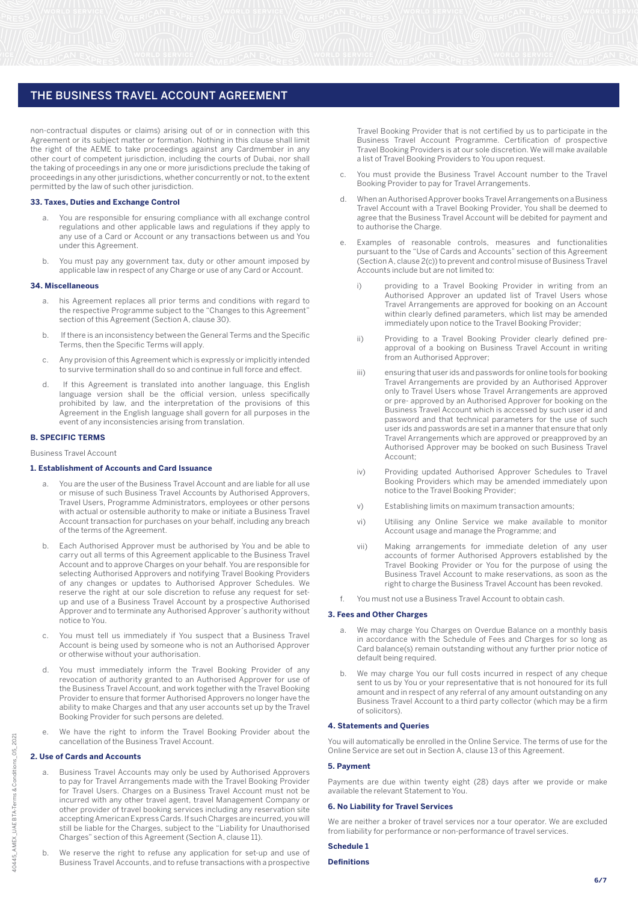non-contractual disputes or claims) arising out of or in connection with this Agreement or its subject matter or formation. Nothing in this clause shall limit the right of the AEME to take proceedings against any Cardmember in any other court of competent jurisdiction, including the courts of Dubai, nor shall the taking of proceedings in any one or more jurisdictions preclude the taking of proceedings in any other jurisdictions, whether concurrently or not, to the extent permitted by the law of such other jurisdiction.

#### **33. Taxes, Duties and Exchange Control**

- a. You are responsible for ensuring compliance with all exchange control regulations and other applicable laws and regulations if they apply to any use of a Card or Account or any transactions between us and You under this Agreement.
- You must pay any government tax, duty or other amount imposed by applicable law in respect of any Charge or use of any Card or Account.

#### **34. Miscellaneous**

- a. his Agreement replaces all prior terms and conditions with regard to the respective Programme subject to the "Changes to this Agreement" section of this Agreement (Section A, clause 30).
- b. If there is an inconsistency between the General Terms and the Specific Terms, then the Specific Terms will apply.
- c. Any provision of this Agreement which is expressly or implicitly intended to survive termination shall do so and continue in full force and effect.
- d. If this Agreement is translated into another language, this English language version shall be the official version, unless specifically prohibited by law, and the interpretation of the provisions of this Agreement in the English language shall govern for all purposes in the event of any inconsistencies arising from translation.

#### **B. SPECIFIC TERMS**

Business Travel Account

#### **1. Establishment of Accounts and Card Issuance**

- You are the user of the Business Travel Account and are liable for all use or misuse of such Business Travel Accounts by Authorised Approvers, Travel Users, Programme Administrators, employees or other persons with actual or ostensible authority to make or initiate a Business Travel Account transaction for purchases on your behalf, including any breach of the terms of the Agreement.
- b. Each Authorised Approver must be authorised by You and be able to carry out all terms of this Agreement applicable to the Business Travel Account and to approve Charges on your behalf. You are responsible for selecting Authorised Approvers and notifying Travel Booking Providers of any changes or updates to Authorised Approver Schedules. We reserve the right at our sole discretion to refuse any request for setup and use of a Business Travel Account by a prospective Authorised Approver and to terminate any Authorised Approver´s authority without notice to You.
- c. You must tell us immediately if You suspect that a Business Travel Account is being used by someone who is not an Authorised Approver or otherwise without your authorisation.
- d. You must immediately inform the Travel Booking Provider of any revocation of authority granted to an Authorised Approver for use of the Business Travel Account, and work together with the Travel Booking Provider to ensure that former Authorised Approvers no longer have the ability to make Charges and that any user accounts set up by the Travel Booking Provider for such persons are deleted.
- We have the right to inform the Travel Booking Provider about the cancellation of the Business Travel Account.

#### **2. Use of Cards and Accounts**

- Business Travel Accounts may only be used by Authorised Approvers to pay for Travel Arrangements made with the Travel Booking Provider for Travel Users. Charges on a Business Travel Account must not be incurred with any other travel agent, travel Management Company or other provider of travel booking services including any reservation site accepting American Express Cards. If such Charges are incurred, you will still be liable for the Charges, subject to the "Liability for Unauthorised Charges" section of this Agreement (Section A, clause 11).
- b. We reserve the right to refuse any application for set-up and use of Business Travel Accounts, and to refuse transactions with a prospective

Travel Booking Provider that is not certified by us to participate in the Business Travel Account Programme. Certification of prospective Travel Booking Providers is at our sole discretion. We will make available a list of Travel Booking Providers to You upon request.

- You must provide the Business Travel Account number to the Travel Booking Provider to pay for Travel Arrangements.
- d. When an Authorised Approver books Travel Arrangements on a Business Travel Account with a Travel Booking Provider, You shall be deemed to agree that the Business Travel Account will be debited for payment and to authorise the Charge.
- e. Examples of reasonable controls, measures and functionalities pursuant to the "Use of Cards and Accounts" section of this Agreement (Section A, clause 2(c)) to prevent and control misuse of Business Travel Accounts include but are not limited to:
	- i) providing to a Travel Booking Provider in writing from an Authorised Approver an updated list of Travel Users whose Travel Arrangements are approved for booking on an Account within clearly defined parameters, which list may be amended immediately upon notice to the Travel Booking Provider;
	- ii) Providing to a Travel Booking Provider clearly defined preapproval of a booking on Business Travel Account in writing from an Authorised Approver;
	- iii) ensuring that user ids and passwords for online tools for booking Travel Arrangements are provided by an Authorised Approver only to Travel Users whose Travel Arrangements are approved or pre- approved by an Authorised Approver for booking on the Business Travel Account which is accessed by such user id and password and that technical parameters for the use of such user ids and passwords are set in a manner that ensure that only Travel Arrangements which are approved or preapproved by an Authorised Approver may be booked on such Business Travel Account;
	- iv) Providing updated Authorised Approver Schedules to Travel Booking Providers which may be amended immediately upon notice to the Travel Booking Provider;
	- v) Establishing limits on maximum transaction amounts;
	- vi) Utilising any Online Service we make available to monitor Account usage and manage the Programme; and
	- vii) Making arrangements for immediate deletion of any user accounts of former Authorised Approvers established by the Travel Booking Provider or You for the purpose of using the Business Travel Account to make reservations, as soon as the right to charge the Business Travel Account has been revoked.
- You must not use a Business Travel Account to obtain cash.

# **3. Fees and Other Charges**

- a. We may charge You Charges on Overdue Balance on a monthly basis in accordance with the Schedule of Fees and Charges for so long as Card balance(s) remain outstanding without any further prior notice of default being required.
- We may charge You our full costs incurred in respect of any cheque sent to us by You or your representative that is not honoured for its full amount and in respect of any referral of any amount outstanding on any Business Travel Account to a third party collector (which may be a firm of solicitors).

#### **4. Statements and Queries**

You will automatically be enrolled in the Online Service. The terms of use for the Online Service are set out in Section A, clause 13 of this Agreement.

#### **5. Payment**

Payments are due within twenty eight (28) days after we provide or make available the relevant Statement to You.

# **6. No Liability for Travel Services**

We are neither a broker of travel services nor a tour operator. We are excluded from liability for performance or non-performance of travel services.

# **Schedule 1**

# **Definitions**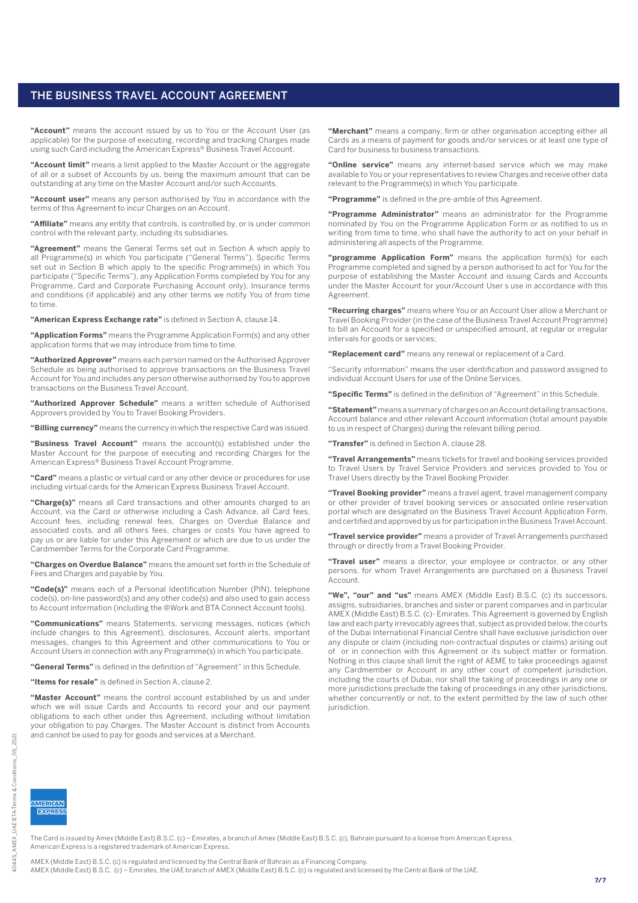**"Account"** means the account issued by us to You or the Account User (as applicable) for the purpose of executing, recording and tracking Charges made using such Card including the American Express® Business Travel Account.

**"Account limit"** means a limit applied to the Master Account or the aggregate of all or a subset of Accounts by us, being the maximum amount that can be outstanding at any time on the Master Account and/or such Accounts.

**"Account user"** means any person authorised by You in accordance with the terms of this Agreement to incur Charges on an Account.

**"Affiliate"** means any entity that controls, is controlled by, or is under common control with the relevant party, including its subsidiaries.

**"Agreement"** means the General Terms set out in Section A which apply to all Programme(s) in which You participate ("General Terms"), Specific Terms set out in Section B which apply to the specific Programme(s) in which You participate ("Specific Terms"), any Application Forms completed by You for any Programme, Card and Corporate Purchasing Account only), Insurance terms and conditions (if applicable) and any other terms we notify You of from time to time.

**"American Express Exchange rate"** is defined in Section A, clause 14.

**"Application Forms"** means the Programme Application Form(s) and any other application forms that we may introduce from time to time.

**"Authorized Approver"** means each person named on the Authorised Approver Schedule as being authorised to approve transactions on the Business Travel Account for You and includes any person otherwise authorised by You to approve transactions on the Business Travel Account.

**"Authorized Approver Schedule"** means a written schedule of Authorised Approvers provided by You to Travel Booking Providers.

**"Billing currency"** means the currency in which the respective Card was issued.

**"Business Travel Account"** means the account(s) established under the Master Account for the purpose of executing and recording Charges for the American Express® Business Travel Account Programme.

**"Card"** means a plastic or virtual card or any other device or procedures for use including virtual cards for the American Express Business Travel Account.

**"Charge(s)"** means all Card transactions and other amounts charged to an Account, via the Card or otherwise including a Cash Advance, all Card fees, Account fees, including renewal fees, Charges on Overdue Balance and associated costs, and all others fees, charges or costs You have agreed to pay us or are liable for under this Agreement or which are due to us under the Cardmember Terms for the Corporate Card Programme.

**"Charges on Overdue Balance"** means the amount set forth in the Schedule of Fees and Charges and payable by You.

**"Code(s)"** means each of a Personal Identification Number (PIN), telephone code(s), on-line password(s) and any other code(s) and also used to gain access to Account information (including the @Work and BTA Connect Account tools).

**"Communications"** means Statements, servicing messages, notices (which include changes to this Agreement), disclosures, Account alerts, important messages, changes to this Agreement and other communications to You or Account Users in connection with any Programme(s) in which You participate.

**"General Terms"** is defined in the definition of "Agreement" in this Schedule.

**"Items for resale"** is defined in Section A, clause 2.

**"Master Account"** means the control account established by us and under which we will issue Cards and Accounts to record your and our payment obligations to each other under this Agreement, including without limitation your obligation to pay Charges. The Master Account is distinct from Accounts and cannot be used to pay for goods and services at a Merchant.

**"Merchant"** means a company, firm or other organisation accepting either all Cards as a means of payment for goods and/or services or at least one type of Card for business to business transactions.

**"Online service"** means any internet-based service which we may make available to You or your representatives to review Charges and receive other data relevant to the Programme(s) in which You participate.

**"Programme"** is defined in the pre-amble of this Agreement.

**"Programme Administrator"** means an administrator for the Programme nominated by You on the Programme Application Form or as notified to us in writing from time to time, who shall have the authority to act on your behalf in administering all aspects of the Programme.

**"programme Application Form"** means the application form(s) for each Programme completed and signed by a person authorised to act for You for the purpose of establishing the Master Account and issuing Cards and Accounts under the Master Account for your/Account User s use in accordance with this Agreement.

**"Recurring charges"** means where You or an Account User allow a Merchant or Travel Booking Provider (in the case of the Business Travel Account Programme) to bill an Account for a specified or unspecified amount, at regular or irregular intervals for goods or services;

**"Replacement card"** means any renewal or replacement of a Card.

"Security information" means the user identification and password assigned to individual Account Users for use of the Online Services.

**"Specific Terms"** is defined in the definition of "Agreement" in this Schedule.

**"Statement"** means a summary of charges on an Account detailing transactions, Account balance and other relevant Account information (total amount payable to us in respect of Charges) during the relevant billing period.

**"Transfer"** is defined in Section A, clause 28.

**"Travel Arrangements"** means tickets for travel and booking services provided to Travel Users by Travel Service Providers and services provided to You or Travel Users directly by the Travel Booking Provider.

**"Travel Booking provider"** means a travel agent, travel management company or other provider of travel booking services or associated online reservation portal which are designated on the Business Travel Account Application Form, and certified and approved by us for participation in the Business Travel Account.

**"Travel service provider"** means a provider of Travel Arrangements purchased through or directly from a Travel Booking Provider.

**"Travel user"** means a director, your employee or contractor, or any other persons, for whom Travel Arrangements are purchased on a Business Travel Account.

**"We", "our" and "us"** means AMEX (Middle East) B.S.C. (c) its successors, assigns, subsidiaries, branches and sister or parent companies and in particular AMEX (Middle East) B.S.C. (c)- Emirates. This Agreement is governed by English law and each party irrevocably agrees that, subject as provided below, the courts of the Dubai International Financial Centre shall have exclusive jurisdiction over any dispute or claim (including non-contractual disputes or claims) arising out of or in connection with this Agreement or its subject matter or formation. Nothing in this clause shall limit the right of AEME to take proceedings against any Cardmember or Account in any other court of competent jurisdiction, including the courts of Dubai, nor shall the taking of proceedings in any one or more jurisdictions preclude the taking of proceedings in any other jurisdictions, whether concurrently or not, to the extent permitted by the law of such other jurisdiction.

10445

**MERICAN EXPRESS** 

The Card is issued by Amex (Middle East) B.S.C. (c) – Emirates, a branch of Amex (Middle East) B.S.C. (c), Bahrain pursuant to a license from American Express. American Express is a registered trademark of American Express.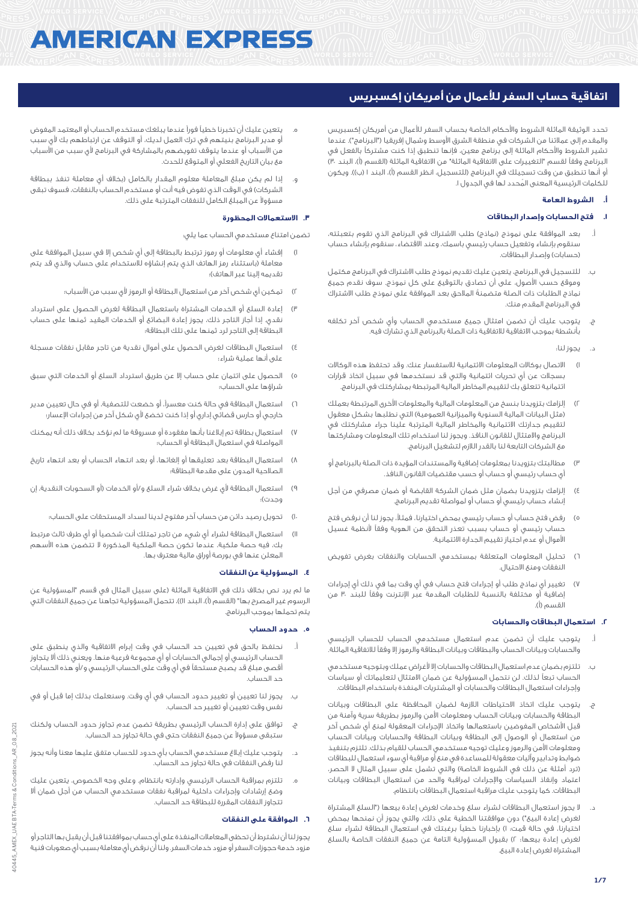# **AMERICAN EXPRESS**

# **اتفاقية حساب السفر لألعمال من أمريكان إكسبريس**

تحدد الوثيقة الماثلة الشروط واألحكام الخاصة بحساب السفر لألعمال من أمريكان إكسبريس والمقدم إلى عملائنا من الشركات في منطقة الشرق الأوسط وشمال إفريقيا ("البرنامج"). عندما تشير الشروط واألحكام الماثلة إلى برنامج معين، فإنها تنطبق إذا كنت مشتركاً بالفعل في البرنامج وفقاً لقسم "التغييرات على الاتفاقية الماثلة" من الاتفاقية الماثلة (القسم (أ)، البند ٣٠) أو أنها تنطبق من وقت تسجيلك في البرنامج (للتسجيل، انظر القسم (أ)، البند ١ (ب)). ويكون للكلمات الرئيسية المعنى المُحدد لهاً في الجدول ا.

# **أ. الشروط العامة**

# **.1 فتح الحسابات وإصدار البطاقات**

- بعد الموافقة على نموذج (نماذج) طلب الاشتراك في البرنامج الذي تقوم بتعبئته، سنقوم بإنشاء وتفعيل حساب رئيسي باسمك، وعند االقتضاء، سنقوم بإنشاء حساب (حسابات) وإصدار البطاقات.
- ب. للتسجيل في البرنامج، يتعين عليك تقديم نموذج طلب االشتراك في البرنامج مكتمل وموقع حسب األصول، على أن تصادق بالتوقيع على كل نموذج. سوف نقدم جميع نماذج الطلبات ذات الصلة متضمنةً المالحق بعد الموافقة على نموذج طلب االشتراك في البرنامج المقدم منك.
- ج. يتوجب عليك أن تضمن امتثال جميع مستخدمي الحساب وأي شخص آخر تكلفه بأنشطة بموجب االتفاقية لالتفاقية ذات الصلة بالبرنامج الذي تشارك فيه.
	- يجوز لنا:
- 1( االتصال بوكاالت المعلومات االئتمانية لالستفسار عنك. وقد تحتفظ هذه الوكاالت بسجالت عن أي تحريات ائتمانية والتي قد نستخدمها في سبيل اتخاذ قرارات ائتمانية تتعلق بك لتقييم المخاطر المالية المرتبطة بمشاركتك في البرنامج.
- 2( إلزامك بتزويدنا بنسخ من المعلومات المالية والمعلومات األخرى المرتبطة بعملك (مثل البيانات المالية السنوية والميزانية العمومية) التي نطلبها بشكل معقول لتقييم جدارتك االئتمانية والمخاطر المالية المترتبة علينا جراء مشاركتك في البرنامج واالمتثال للقانون النافذ. ويجوز لنا استخدام تلك المعلومات ومشاركتها مع الشركات التابعة لنا بالقدر الالزم لتشغيل البرنامج.
- 3( مطالبتك بتزويدنا بمعلومات إضافية والمستندات المؤيدة ذات الصلة بالبرنامج أو أي حساب رئيسي أو حساب أو حسب مقتضيات القانون النافذ.
- 4( إلزامك بتزويدنا بضمان مثل ضمان الشركة القابضة أو ضمان مصرفي من أجل إنشاء حساب رئيسي أو حساب أو لمواصلة تقديم البرنامج.
- 5( رفض فتح حساب أو حساب رئيسي بمحض اختيارنا، فمثال،ً يجوز لنا أن نرفض فتح حساب رئيسي أو حساب بسبب تعذر التحقق من الهوية وفقاً ألنظمة غسيل األموال أو عدم اجتياز تقييم الجدارة االئتمانية.
- 6( تحليل المعلومات المتعلقة بمستخدمي الحسابات والنفقات بغرض تفويض النفقات ومنع االحتيال.
- تغيير أي نماذج طلب أو إجراءات فتح حساب في أي وقت بما في ذلك أي إجراءات إضافية أو مختلفة بالنسبة للطلبات المقدمة عبر اإلنترنت وفقاً للبند 30 من القسم )أ(.

# **.2 استعمال البطاقات والحسابات**

- أ. يتوجب عليك أن تضمن عدم استعمال مستخدمي الحساب للحساب الرئيسي والحسابات وبيانات الحساب والبطاقات وبيانات البطاقة والرموز إال وفقاً لالتفاقية الماثلة.
- ب. تلتزم بضمان عدم استعمال البطاقات والحسابات إال ألغراض عملك وبتوجيه مستخدمي الحساب تبعاً لذلك. لن نتحمل المسؤولية عن ضمان االمتثال لتعليماتك أو سياسات وإجراءات استعمال البطاقات والحسابات أو المشتريات المنفذة باستخدام البطاقات.
- ج. يتوجب عليك اتخاذ االحتياطات الالزمة لضمان المحافظة على البطاقات وبيانات البطاقة والحسابات وبيانات الحساب ومعلومات األمن والرموز بطريقة سرية وآمنة من قبل األشخاص المفوضين باستعمالها واتخاذ اإلجراءات المعقولة لمنع أي شخص آخر من استعمال أو الوصول إلى البطاقة وبيانات البطاقة والحسابات وبيانات الحساب ومعلومات األمن والرموز وعليك توجيه مستخدمي الحساب للقيام بذلك. تلتزم بتنفيذ ضوابط وتدابير وآليات معقولة للمساعدة في منع أو مراقبة أي سوء استعمال للبطاقات (ترد أمثلة عن ذلك في الشروط الخاصة) والتي تشمل على سبيل المثال لا الحصر، اعتماد وإنفاذ السياسات واإلجراءات لمراقبة والحد من استعمال البطاقات وبيانات البطاقات. كما يتوجب عليك مراقبة استعمال البطاقات بانتظام.
- د. ال يجوز استعمال البطاقات لشراء سلع وخدمات لغرض إعادة بيعها )"السلع المشتراة لغرض إعادة البيع") دون موافقتنا الخطية على ذلك، والتي يجوز أن نمنحها بمحض اختيارنا، في حالة قمت: 1( بإخبارنا خطياً برغبتك في استعمال البطاقة لشراء سلع لغرض إعادة بيعها؛ 2( بقبول المسؤولية التامة عن جميع النفقات الخاصة بالسلع المشتراة لغرض إعادة البيع.
- ه. يتعين عليك أن تخبرنا خطياً فوراً عندما يبلغك مستخدم الحساب أو المعتمد المفوض أو مدير البرنامج بنيتهم في ترك العمل لديك، أو التوقف عن ارتباطهم بك ألي سبب .<br>من الأسباب أو عندما يتوقف تفويضهم بالمشاركة في البرنامج لأي سبب من الأسباب مع بيان التاريخ الفعلي أو المتوقع للحدث.
- إذا لم يكن مبلغ المعاملة معلوم المقدار بالكامل (بخلاف أي معاملة تنفذ ببطاقة الشركات) في الوقت الذي تفوض فيه أنت أو مستخدم الحساب بالنفقات، فسوف تبقى مسؤوالً عن المبلغ الكامل للنفقات المترتبة على ذلك.

# **.3 االستعماالت المحظورة**

تضمن امتناع مستخدمي الحساب عما يلي:

- 1( إفشاء أي معلومات أو رموز ترتبط بالبطاقة إلى أي شخص إال في سبيل الموافقة على معاملة (باستثناء رمز الهاتف الذي يتم إنشاؤه للاستخدام على حساب والذي قد يتم تقديمه إلينا عبر الهاتف)؛
	- تمكين أي شخص آخر من استعمال البطاقة أو الرموز لأي سبب من الأسباب؛
- 3( إعادة السلع أو الخدمات المشتراة باستعمال البطاقة لغرض الحصول على استرداد نقدي. إذا أجاز التاجر ذلك، يجوز إعادة البضائع أو الخدمات المقيد ثمنها على حساب البطاقة إلى التاجر لرد ثمنها على تلك البطاقة؛
- 4( استعمال البطاقات لغرض الحصول على أموال نقدية من تاجر مقابل نفقات مسجلة على أنها عملية شراء؛
- ٥) الحصول على ائتمان على حساب إلا عن طريق استرداد السلع أو الخدمات التي سبق شراؤها على الحساب؛
- 6( استعمال البطاقة في حالة كنت معسرا،ً أو خضعت للتصفية، أو في حال تعيين مدير خارجي أو حارس قضائي إداري أو إذا كنت تخضع ألي شكل آخر من إجراءات اإلعسار؛
- 7( استعمال بطاقة تم إبالغنا بأنها مفقودة أو مسروقة ما لم نؤكد بخالف ذلك أنه يمكنك المواصلة في استعمال البطاقة أو الحساب؛
- 8( استعمال البطاقة بعد تعليقها أو إلغائها، أو بعد انتهاء الحساب أو بعد انتهاء تاريخ الصالحية المدون على مقدمة البطاقة؛
- 9( استعمال البطاقة ألي غرض بخالف شراء السلع و/أو الخدمات )أو السحوبات النقدية، إن وجدت)؛
	- 10( تحويل رصيد دائن من حساب آخر مفتوح لدينا لسداد المستحقات على الحساب؛
- 11( استعمال البطاقة لشراء أي شيء من تاجر تمتلك أنت شخصياً أو أي طرف ثالث مرتبط بك، فيه حصة ملكية، عندما تكون حصة الملكية المذكورة ال تتضمن هذه األسهم المعلن عنها في بورصة أوراق مالية معترف بها.

#### **.4 المسؤولية عن النفقات**

ما لم يرد نص بخلاف ذلك في الاتفاقية الماثلة (على سبيل المثال في قسم "المسؤولية عن الرسوم غير المصرح بها" (القسم (أ)، البند اا))، تتحمل المسؤولية تجاهنا عن جميع النفقات التي يتم تحملها بموجب البرنامج.

## **.5 حدود الحساب**

- نحتفظ بالحق في تعيين حد الحساب في وقت إبرام الاتفاقية والذي ينطبق على الحساب الرئيسي أو إجمالي الحسابات أو أي مجموعة فرعية منها. ويعني ذلك أال يتجاوز أقصى مبلغ قد يصبح مستحقاً في أي وقت على الحساب الرئيسي و/أو هذه الحسابات حد الحساب.
- ب. يجوز لنا تعيين أو تغيير حدود الحساب في أي وقت. وسنعلمك بذلك إما قبل أو في نفس وقت تعيين أو تغيير حد الحساب.
- ج. توافق على إدارة الحساب الرئيسي بطريقة تضمن عدم تجاوز حدود الحساب ولكنك ستبقى مسؤوالً عن جميع النفقات حتى في حالة تجاوز حد الحساب.
- د. يتوجب عليك إبالغ مستخدمي الحساب بأي حدود للحساب متفق عليها معنا وأنه يجوز لنا رفض النفقات في حالة تجاوز حد الحساب.
- ه. تلتزم بمراقبة الحساب الرئيسي وإدارته بانتظام. وعلى وجه الخصوص، يتعين عليك وضع إرشادات وإجراءات داخلية لمراقبة نفقات مستخدمي الحساب من أجل ضمان أال تتجاوز النفقات المقررة للبطاقة حد الحساب.

#### **.6 الموافقة على النفقات**

يجوز لنا أن نشترط أن تحظى المعامالت المنفذة على أي حساب بموافقتنا قبل أن يقبل بها التاجر أو مزود خدمة حجوزات السفر أو مزود خدمات السفر. ولنا أن نرفض أي معاملة بسبب أي صعوبات فنية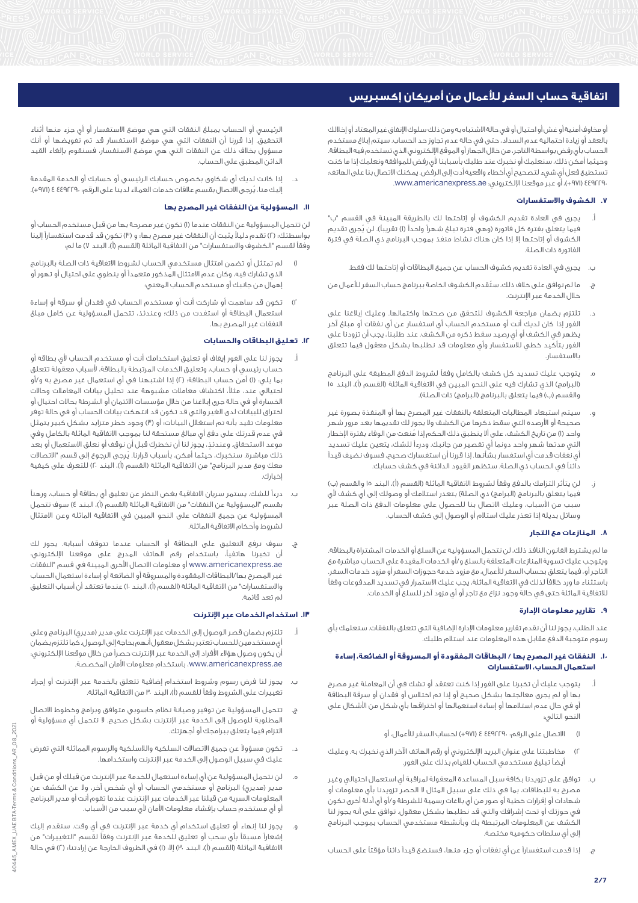أو مخاوف أمنية أو غش أو احتيال أو في حالة االشتباه به ومن ذلك سلوك اإلنفاق غير المعتاد أو إخاللك بالعقد أو زيادة احتمالية عدم السداد، حتى في حالة عدم تجاوز حد الحساب. سيتم إبالغ مستخدم الحساب بأي رفض بواسطة التاجر، من خالل الجهاز أو الموقع اإللكتروني الذي تستخدم فيه البطاقة. وحيثما أمكن ذلك، سنعلمك أو نخبرك عند طلبك بأسبابنا ألي رفض للموافقة ونعلمك إذا ما كنت تستطيع فعل أي شيء لتصحيح أي أخطاء واقعية أدت إلى الرفض. يمكنك االتصال بنا على الهاتف: 4492290 )+971(، أو عبر موقعنا اإللكتروني: ae.americanexpress.www.

# **.7 الكشوف واالستفسارات**

- يجرى في العادة تقديم الكشوف أو إتاحتها لك بالطريقة المبينة في القسم "ب" فيما يتعلّق بفترة كل فاتورة (وهي فترة تبلغ شهراً واحداً (ا) تقريباً). لن يُجرى تقديم الكشوف أو إتاحتها إال إذا كان هناك نشاط منفذ بموجب البرنامج ذي الصلة في فترة الفاتورة ذات الصلة.
	- ب. يجرى في العادة تقديم كشوف الحساب عن جميع البطاقات أو إتاحتها لك فقط.
- ج. ما لم نوافق على خالف ذلك، ستُ قدم الكشوف الخاصة ببرنامج حساب السفر لألعمال من خالل الخدمة عبر اإلنترنت.
- د. تلتزم بضمان مراجعة الكشوف للتحقق من صحتها واكتمالها. وعليك إبالغنا على الفور إذا كان لديك أنت أو مستخدم الحساب أي استفسار عن أي نفقات أو مبلغ آخر يظهر في الكشف أو أي رصيد سقط ذكره من الكشف. عند طلبنا، يجب أن تزودنا على الفور بتأكيد خطي لالستفسار وأي معلومات قد نطلبها بشكل معقول فيما تتعلق باالستفسار.
- ه. يتوجب عليك تسديد كل كشف بالكامل وفقاً لشروط الدفع المطبقة على البرنامج (البرامج) الذي تشارك فيه على النحو المبين في الاتفاقية الماثلة (القسم (أ)، البند ١٥ .<br>والقسم (ب) فيما يتعلق بالبرنامج (البرامج) ذات الصلة).
- و. سيتم استبعاد المطالبات المتعلقة بالنفقات غير المصرح بها أو المنفذة بصورة غير صحيحة أو األرصدة التي سقط ذكرها من الكشف وال يجوز لك تقديمها بعد مرور شهر واحد (١) من تاريخ الكشف، على ألا ينطبق ذلك الحكم إذا مُنعت من الوفاء بفترة الإخطار التي مدتها شهر واحد دونما أي تقصير من جانبك. ودرءاً للشك، يتعين عليك تسديد أي نفقات قدمت أي استفسار بشأنها. إذا قررنا أن استفسارك صحيح، فسوف نضيف قيداً دائناً في الحساب ذي الصلة. ستظهر القيود الدائنة في كشف حسابك.
- ز. لن يتأثر التزامك بالدفع وفقاً لشروط الاتفاقية الماثلة (القسم (أ)، البند ١٥ والقسم (ب) فيما يتعلق بالبرنامج (البرامج) ذي الصلة) بتعذر استلامك أو وصولك إلى أي كشف لأي سبب من األسباب، وعليك االتصال بنا للحصول على معلومات الدفع ذات الصلة عبر وسائل بديلة إذا تعذر عليك استالم أو الوصول إلى كشف الحساب.

# **.8 المنازعات مع التجار**

ما لم يشترط القانون النافذ ذلك، لن نتحمل المسؤولية عن السلع أو الخدمات المشتراة بالبطاقة. ويتوجب عليك تسوية المنازعات المتعلقة بالسلع و/أو الخدمات المقيدة على الحساب مباشرة مع التاجر أو، فيما يتعلق بحساب السفر لألعمال، مع مزود خدمة حجوزات السفر أو مزود خدمات السفر. باستثناء ما ورد خالفاً لذلك في االتفاقية الماثلة، يجب عليك االستمرار في تسديد المدفوعات وفقاً لالتفاقية الماثلة حتى في حالة وجود نزاع مع تاجر أو أي مزود آخر للسلع أو الخدمات.

#### **.9 تقارير معلومات اإلدارة**

عند الطلب، يجوز لنا أن نقدم تقارير معلومات اإلدارة اإلضافية التي تتعلق بالنفقات. سنعلمك بأي رسوم متوجبة الدفع مقابل هذه المعلومات عند استالم طلبك.

## **.10 النفقات غير المصرح بها / البطاقات المفقودة أو المسروقة أو الضائعة، إساءة استعمال الحساب، االستفسارات**

- أ. يتوجب عليك أن تخبرنا على الفور إذا كنت تعتقد أو تشك في أن المعاملة غير مصرح بها أو لم يجرى معالجتها بشكل صحيح أو إذا تم اختالس أو فقدان أو سرقة البطاقة أو في حال عدم استالمها أو إساءة استعمالها أو اختراقها بأي شكل من األشكال على النحو التالي:
	- 1( االتصال على الرقم: 4492290 4 )+971( لحساب السفر لألعمال، أو
- مخاطبتنا على عنوان البريد الإلكتروني أو رقم الهاتف الآخر الذي نخبرك به. وعليك أيضاً تبليغ مستخدمي الحساب للقيام بذلك على الفور.
- ب. توافق على تزويدنا بكافة سبل المساعدة المعقولة لمراقبة أي استعمال احتيالي وغير مصرح به للبطاقات، بما في ذلك على سبيل المثال ال الحصر تزويدنا بأي معلومات أو شهادات أو إقرارات خطية أو صور من أي بالغات رسمية للشرطة و/أو أي أدلة أخرى تكون في حوزتك أو تحت إشرافك والتي قد نطلبها بشكل معقول. توافق على أنه يجوز لنا الكشف عن المعلومات المرتبطة بك وبأنشطة مستخدمي الحساب بموجب البرنامج إلى أي سلطات حكومية مختصة.
- ج. إذا قدمت استفساراً عن أي نفقات أو جزء منها، فسنضع قيداً دائناً مؤقتاً على الحساب

الرئيسي أو الحساب بمبلغ النفقات التي هي موضع االستفسار أو أي جزء منها أثناء التحقيق. إذا قررنا أن النفقات التي هي موضع االستفسار قد تم تفويضها أو أنك مسؤول بخالف ذلك عن النفقات التي هي موضع االستفسار، فسنقوم بإلغاء القيد الدائن المطبق على الحساب.

 د. إذا كانت لديك أي شكاوى بخصوص حسابك الرئيسي أو حسابك أو الخدمة المقدمة إليك منا، يُرجى االتصال بقسم عالقات خدمات العمالء لدينا على الرقم: 4492290 4 )+971(.

# **.11 المسؤولية عن النفقات غير المصرح بها**

لن تتحمل المسؤولية عن النفقات عندما )1( تكون غير مصرحة بها من قبل مستخدم الحساب أو بواسطتك؛ (٢) تقدم دليلاً يثبت أن النفقات غير مصرح بها؛ و (٣) تكون قد قدمت استفساراً إلينا وفقاً لقسم "الكشوف والاستفسارات" من الاتفاقية الماثلة (القسم (أ)، البند ٧) ما لم:

- 1( لم تمتثل أو تضمن امتثال مستخدمي الحساب لشروط االتفاقية ذات الصلة بالبرنامج الذي تشارك فيه، وكان عدم االمتثال المذكور متعمداً أو ينطوي على احتيال أو تهور أو إهمال من جانبك أو مستخدم الحساب المعني؛
- 2( تكون قد ساهمت أو شاركت أنت أو مستخدم الحساب في فقدان أو سرقة أو إساءة استعمال البطاقة أو استفدت من ذلك؛ وعندئذ، تتحمل المسؤولية عن كامل مبلغ النفقات غير المصرح بها.

# **.12 تعليق البطاقات والحسابات**

- أ. يجوز لنا على الفور إيقاف أو تعليق استخدامك أنت أو مستخدم الحساب ألي بطاقة أو حساب رئيسي أو حساب، وتعليق الخدمات المرتبطة بالبطاقة، ألسباب معقولة تتعلق بما يلي: )1( أمن حساب البطاقة؛ )2( إذا اشتبهنا في أي استعمال غير مصرح به و/أو احتيالي عند، مثال،ً اكتشاف معامالت مشبوهة عند تحليل بيانات المعامالت وحاالت الخسارة أو في حالة جرى إبالغنا من خالل مؤسسات االئتمان أو الشرطة بحاالت احتيال أو اختراق للبيانات لدى الغير والتي قد تكون قد انتهكت بيانات الحساب أو في حالة توفر معلومات تفيد بأنه تم استغلال البيانات؛ أو (٣) وجود خطر متزايد بشكل كبير يتمثل في عدم قدرتك على دفع أي مبالغ مستحقة لنا بموجب االتفاقية الماثلة بالكامل وفي موعد االستحقاق. وعندئذٍ ، يجوز لنا أن نخطرك قبل أن نوقف أو نعلق االستعمال أو بعد ذلك مباشرة. سنخبرك، حيثما أمكن، بأسباب قرارنا. يُرجى الرجوع إلى قسم "االتصاالت معك ومع مدير البرنامج" من الاتفاقية الماثلة (القسم (أ)، البند ٢٠) للتعرف على كيفية إخبارك.
- ب. درءاً للشك، يستمر سريان االتفاقية بغض النظر عن تعليق أي بطاقة أو حساب، ورهناً بقسم "المسؤولية عن النفقات" من الاتفاقية الماثلة (القسم (أ)، البند ٤) سوف تتحمل المسؤولية عن جميع النفقات على النحو المبين في االتفاقية الماثلة وعن االمتثال لشروط وأحكام االتفاقية الماثلة.
- ج. سوف نرفع التعليق على البطاقة أو الحساب عندما تتوقف أسبابه. يجوز لك أن تخبرنا هاتفياً، باستخدام رقم الهاتف المدرج على موقعنا الإلكتروني. ae.americanexpress.www أو معلومات االتصال األخرى المبينة في قسم "النفقات غير المصرح بها/البطاقات المفقودة والمسروقة أو الضائعة أو إساءة استعمال الحساب والاستفسارات" من الاتفاقية الماثلة (القسم (أ)، البند ١٠) عندما تعتقد أن أسباب التعليق لم تعد قائمة.

# **.13 استخدام الخدمات عبر اإلنترنت**

- تلتزم بضمان قصر الوصول إلى الخدمات عبر الإنترنت على مدير (مديري) البرنامج وعلى أي مستخدمين للحساب تعتبر بشكل معقول أنهم بحاجة إلى الوصول. كما تلتزم بضمان .<br>أن يكون وصول هؤلاء الأفراد إلى الخدمة عبر الإنترنت حصراً من خلال موقعنا الإلكتروني: ae.americanexpress.www، باستخدام معلومات األمان المخصصة.
- ب. يجوز لنا فرض رسوم وشروط استخدام إضافية تتعلق بالخدمة عبر اإلنترنت أو إجراء تغييرات على الشروط وفقاً للقسم (أ)، البند ٣٠ من الاتفاقية الماثلة.
- ج. تتحمل المسؤولية عن توفير وصيانة نظام حاسوبي متوافق وبرامج وخطوط االتصال المطلوبة للوصول إلى الخدمة عبر اإلنترنت بشكل صحيح. ال نتحمل أي مسؤولية أو التزام فيما يتعلق ببرامجك أو أجهزتك.
- د. تكون مسؤوالً عن جميع االتصاالت السلكية والالسلكية والرسوم المماثلة التي تفرض عليك في سبيل الوصول إلى الخدمة عبر اإلنترنت واستخدامها.
- ه. لن نتحمل المسؤولية عن أي إساءة استعمال للخدمة عبر اإلنترنت من قبلك أو من قبل مدير (مديري) البرنامج أو مستخدمي الحساب أو أي شخص آخر، ولا عن الكشف عن المعلومات السرية من قبلنا عبر الخدمات عبر اإلنترنت عندما تقوم أنت أو مدير البرنامج أو أي مستخدم حساب بإفشاء معلومات الأمان لأي سبب من الأسباب.
- و. يجوز لنا إنهاء أو تعليق استخدام أي خدمة عبر اإلنترنت في أي وقت. سنقدم إليك إشعاراً مسبقاً بأي سحب أو تعليق للخدمة عبر اإلنترنت وفقاً لقسم "التغييرات" من الاتفاقية الماثلة (القسم (أ)، البند ٣٠) إلا: (١) في الظروف الخارجة عن إرادتنا؛ (٢) في حالة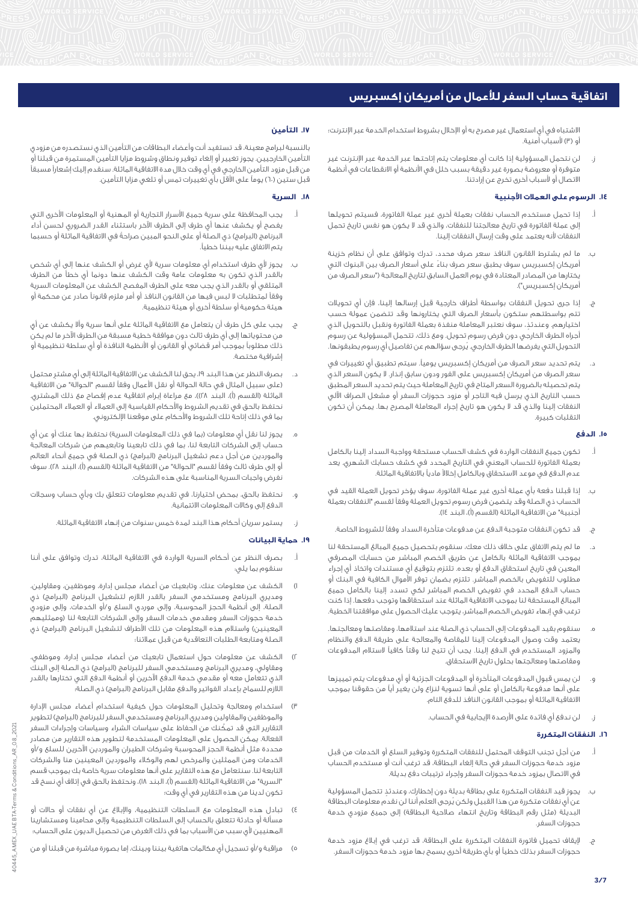االشتباه في أي استعمال غير مصرح به أو اإلخالل بشروط استخدام الخدمة عبر اإلنترنت؛ أو (٣) لأسباب أمنية.

 ز. لن نتحمل المسؤولية إذا كانت أي معلومات يتم إتاحتها عبر الخدمة عبر اإلنترنت غير متوفرة أو معروضة بصورة غير دقيقة بسبب خلل في األنظمة أو االنقطاعات في أنظمة االتصال أو ألسباب أخرى تخرج عن إرادتنا.

# **.14 الرسوم على العمالت األجنبية**

- أ. إذا تحمل مستخدم الحساب نفقات بعملة أخرى غير عملة الفاتورة، فسيتم تحويلها إلى عملة الفاتورة في تاريخ معالجتنا للنفقات، والذي قد ال يكون هو نفس تاريخ تحمل النفقات لأنه يعتمد على وقت إرسال النفقات إلينا.
- ب. ما لم يشترط القانون النافذ سعر صرف محدد، تدرك وتوافق على أن نظام خزينة أمريكان إكسبريس سوف يطبق سعر صرف بناءً على أسعار الصرف بين البنوك التي يختارها من المصادر المعتادة في يوم العمل السابق لتاريخ المعالجة )"سعر الصرف من .<br>أمريكان إكسبريس").
- ج. إذا جرى تحويل النفقات بواسطة أطراف خارجية قبل إرسالها إلينا، فإن أي تحويالت ،<br>تتم بواسطتهم ستكون بأسعار الصرف التي يختارونها وقد تتضمن عمولة حسب اختيارهم. وعندئذٍ، سوف نعتبر المعاملة منفذة بعملة الفاتورة ونقبل بالتحويل الذي أجراه الطرف الخارجي دون فرض رسوم تحويل. ومع ذلك، تتحمل المسؤولية عن رسوم التحويل التي يفرضها الطرف الخارجي. يُرجى سؤالهم عن تفاصيل أي رسوم يطبقونها.
- د. يتم تحديد سعر الصرف من أمريكان إكسبريس يوميا.ً سيتم تطبيق أي تغييرات في سعر الصرف من أمريكان إكسبريس على الفور ودون سابق إنذار. ال يكون السعر الذي يتم تحصيله بالضرورة السعر المتاح في تاريخ المعاملة حيث يتم تحديد السعر المطبق حسب التاريخ الذي يرسل فيه التاجر أو مزود حجوزات السفر أو مشغل الصراف اآللي النفقات إلينا والذي قد ال يكون هو تاريخ إجراء المعاملة المصرح بها. يمكن أن تكون التقلبات كبيرة.

## **.15 الدفع**

- أ. تكون جميع النفقات الواردة في كشف الحساب مستحقة وواجبة السداد إلينا بالكامل بعملة الفاتورة للحساب المعني في التاريخ المحدد في كشف حسابك الشهري. يعد عدم الدفع في موعد االستحقاق وبالكامل إخالالً مادياً باالتفاقية الماثلة.
- ب. إذا قبلنا دفعة بأي عملة أخرى غير عملة الفاتورة، سوف يؤخر تحويل العملة القيد في الحساب ذي الصلة وقد يتضمن فرض رسوم تحويل العملة وفقاً لقسم "النفقات بعملة .<br>أحنبية" من الاتفاقية الماثلة (القسم (أ)، البند ١٤).
	- ج. قد تكون النفقات متوجبة الدفع عن مدفوعات متأخرة السداد وفقاً للشروط الخاصة.
- د. ما لم يتم االتفاق على خالف ذلك معك، سنقوم بتحصيل جميع المبالغ المستحقة لنا بموجب االتفاقية الماثلة بالكامل عن طريق الخصم المباشر من حسابك المصرفي المعين في تاريخ استحقاق الدفع أو بعده. تلتزم بتوقيع أي مستندات واتخاذ أي إجراء مطلوب للتفويض بالخصم المباشر. تلتزم بضمان توفر األموال الكافية في البنك أو حساب الدفع المحدد في تفويض الخصم المباشر لكي تسدد إلينا بالكامل جميع المبالغ المستحقة لنا بموجب االتفاقية الماثلة عند استحقاقها وتوجب دفعها. إذا كنت ترغب في إنهاء تفويض الخصم المباشر، يتوجب عليك الحصول على موافقتنا الخطية.
- ه. سنقوم بقيد المدفوعات إلى الحساب ذي الصلة عند استالمها، ومقاصتها ومعالجتها. يعتمد وقت وصول المدفوعات إلينا للمقاصة والمعالجة على طريقة الدفع والنظام والمزود المستخدم في الدفع إلينا. يجب أن تتيح لنا وقتاً كافياً الستالم المدفوعات ومقاصتها ومعالجتها بحلول تاريخ االستحقاق.
- و. لن يمس قبول المدفوعات المتأخرة أو المدفوعات الجزئية أو أي مدفوعات يتم تمييزها على أنها مدفوعة بالكامل أو على أنها تسوية لنزاع ولن يغير أياً من حقوقنا بموجب االتفاقية الماثلة أو بموجب القانون النافذ للدفع التام.
	- ز. لن ندفع أي فائدة على األرصدة اإليجابية في الحساب.

#### **.16 النفقات المتكررة**

- أ. من أجل تجنب التوقف المحتمل للنفقات المتكررة وتوفير السلع أو الخدمات من قبل مزود خدمة حجوزات السفر في حالة إلغاء البطاقة، قد ترغب أنت أو مستخدم الحساب في االتصال بمزود خدمة حجوزات السفر وإجراء ترتيبات دفع بديلة.
- ب. يجوز قيد النفقات المتكررة على بطاقة بديلة دون إخطارك، وعندئذٍ تتحمل المسؤولية عن أي نفقات متكررة من هذا القبيل ولكن يُرجى العلم أننا لن نقدم معلومات البطاقة البديلة (مثل رقم البطاقة وتاريخ انتهاء صالحية البطاقة) إلى جميع مزودى خدمة حجوزات السفر.
- ج. إيقاف تحميل فاتورة النفقات المتكررة على البطاقة، قد ترغب في إبلاغ مزود خدمة حجوزات السفر بذلك خطياً أو بأي طريقة أخرى يسمح بها مزود خدمة حجوزات السفر.

# **.17 التأمين**

بالنسبة لبرامج معينة، قد تستفيد أنت وأعضاء البطاقات من التأمين الذي نستصدره من مزودي التأمين الخارجيين. يجوز تغيير أو إلغاء توفير ونطاق وشروط مزايا التأمين المستمرة من قبلنا أو من قبل مزود التأمين الخارجي في أي وقت خالل مدة االتفاقية الماثلة. سنقدم إليك إشعاراً مسبقاً قبل ستين (٦٠) يوماً على الأقل بأي تغييرات تمس أو تلغي مزايا التأمين.

#### **.18 السرية**

- أ. يجب المحافظة على سرية جميع األسرار التجارية أو المهنية أو المعلومات األخرى التي يفصح أو يكشف عنها أي طرف إلى الطرف اآلخر باستثناء القدر الضروري لحسن أداء البرنامج (البرامج) ذي الصلة أو على النحو المبين صراحةً في الاتفاقية الماثلة أو حسبما يتم االتفاق عليه بيننا خطيا.ً
- ب. يجوز ألي طرف استخدام أي معلومات سرية ألي غرض أو الكشف عنها إلى أي شخص بالقدر الذي تكون به معلومات عامة وقت الكشف عنها دونما أي خطأ من الطرف المتلقي أو بالقدر الذي يجب معه على الطرف المفصح الكشف عن المعلومات السرية وفقاً لمتطلبات ال لبس فيها من القانون النافذ أو أمر ملزم قانوناً صادر عن محكمة أو هيئة حكومية أو سلطة أخرى أو هيئة تنظيمية.
- ج. يجب على كل طرف أن يتعامل مع االتفاقية الماثلة على أنها سرية وأال يكشف عن أيٍ من محتوياتها إلى أي طرف ثالث دون موافقة خطية مسبقة من الطرف اآلخر ما لم يكن ذلك مطلوباً بموجب أمر قضائي أو القانون أو األنظمة النافذة أو أي سلطة تنظيمية أو إشرافية مختصة.
- د. بصرف النظر عن هذا البند ،19 يحق لنا الكشف عن االتفاقية الماثلة إلى أي مشترٍ محتمل )على سبيل المثال في حالة الحوالة أو نقل األعمال وفقاً لقسم "الحوالة" من االتفاقية الماثلة (القسم (أ)، البند ٢٨))، مع مراعاة إبرام اتفاقية عدم إفصاح مع ذلك المشترق. نحتفظ بالحق في تقديم الشروط واألحكام القياسية إلى العمالء أو العمالء المحتملين بما في ذلك إتاحة تلك الشروط واألحكام على موقعنا اإللكتروني.
- يجوز لنا نقل أي معلومات (بما في ذلك المعلومات السرية) نحتفظ بها عنك أو عن أي حساب إلى الشركات التابعة لنا، بما في ذلك تابعينا وتابعيهم من شركات المعالجة والموردين من أجل دعم تشغيل البرنامج (البرامج) ذي الصلة في جميع أنحاء العالم أو إلى طرف ثالث وفقاً لقسم "الحوالة" من االتفاقية الماثلة )القسم )أ(، البند 28(. سوف نفرض واجبات السرية المناسبة على هذه الشركات.
- و. نحتفظ بالحق، بمحض اختيارنا، في تقديم معلومات تتعلق بك وبأي حساب وسجالت الدفع إلى وكاالت المعلومات االئتمانية.
	- ز. يستمر سريان أحكام هذا البند لمدة خمس سنوات من إنهاء االتفاقية الماثلة.

## **.19 حماية البيانات**

- أ. بصرف النظر عن أحكام السرية الواردة في االتفاقية الماثلة، تدرك وتوافق على أننا سنقوم بما يلي:
- 1( الكشف عن معلومات عنك، وتابعيك من أعضاء مجلس إدارة، وموظفين، ومقاولين، ومديري البرنامج ومستخدمي السفر بالقدر اللازم لتشغيل البرنامج (البرامج) ذي الصلة، إلى أنظمة الحجز المحوسبة، وإلى موردي السلع و/أو الخدمات، وإلى مزودي خدمة حجوزات السفر ومقدمي خدمات السفر وإلى الشركات التابعة لنا (وممثليهم المعينين) واستلام هذه المعلومات من تلك الأطراف لتشغيل البرنامج (البرامج) ذي الصلة ومتابعة الطلبات التعاقدية من قبل عمالئنا؛
- 2( الكشف عن معلومات حول استعمال تابعيك من أعضاء مجلس إدارة، وموظفي، ومقاولي، ومديري البرنامج ومستخدمي السفر للبرنامج (البرامج) ذي الصلة إلى البنك الذي تتعامل معه أو مقدمي خدمة الدفع اآلخرين أو أنظمة الدفع التي تختارها بالقدر .<br>اللازم للسماح بإعداد الفواتير والدفع مقابل البرنامج (البرامج) ذي الصلة؛
- 3( استخدام ومعالجة وتحليل المعلومات حول كيفية استخدام أعضاء مجلس اإلدارة والموظفين والمقاولين ومديري البرنامج ومستخدمي السفر للبرنامج (البرامج) لتطوير التقارير التي قد تمكّنك من الحفاظ على سياسات الشراء وسياسات وإجراءات السفر الفعالة. يمكن الحصول على المعلومات المستخدمة لتطوير هذه التقارير من مصادر محددة مثل أنظمة الحجز المحوسبة وشركات الطيران والموردين اآلخرين للسلع و/أو الخدمات ومن الممثلين والمرخص لهم والوكالء والموردين المعينين منا والشركات التابعة لنا. سنتعامل مع هذه التقارير على أنها معلومات سرية خاصة بك بموجب قسم "السرية" من الاتفاقية الماثلة (القسم (أ)، البند ١٨)، ونحتفظ بالحق في إتلاف أي نسخ قد تكون لدينا من هذه التقارير في أي وقت؛
- 4( تبادل هذه المعلومات مع السلطات التنظيمية، واإلبالغ عن أي نفقات أو حاالت أو مسألة أو حادثة تتعلق بالحساب إلى السلطات التنظيمية وإلى محامينا ومستشارينا المهنيين ألي سبب من األسباب بما في ذلك الغرض من تحصيل الديون على الحساب؛
- 5( مراقبة و/أو تسجيل أي مكالمات هاتفية بيننا وبينك، إما بصورة مباشرة من قبلنا أو من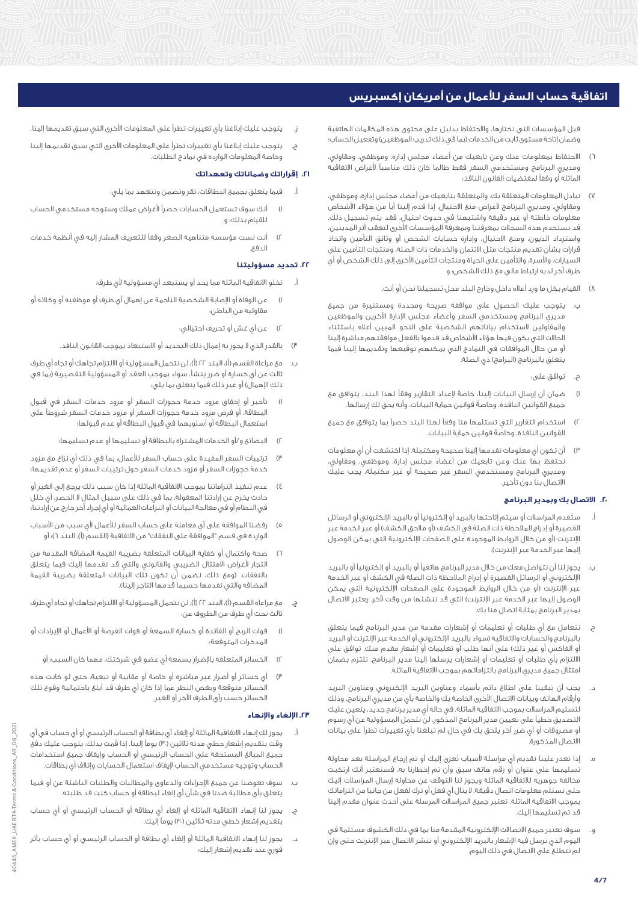قبل المؤسسات التي نختارها، واالحتفاظ بدليل على محتوى هذه المكالمات الهاتفية وضمان إتاحة مستوى ثابت من الخدمات (بما في ذلك تدريب الموظفين) وتفعيل الحساب؛

- 6( االحتفاظ بمعلومات عنك وعن تابعيك من أعضاء مجلس إدارة، وموظفي، ومقاولي، ومديري البرنامج ومستخدمي السفر فقط طالما كان ذلك مناسباً ألغراض االتفاقية الماثلة أو وفقاً لمقتضيات القانون النافذ؛
- 7( تبادل المعلومات المتعلقة بك، والمتعلقة بتابعيك من أعضاء مجلس إدارة، وموظفي، ومقاولي، ومديري البرنامج ألغراض منع االحتيال. إذا قدم إلينا أياً من هؤالء األشخاص معلومات خاطئة أو غير دقيقة واشتبهنا في حدوث احتيال، فقد يتم تسجيل ذلك. قد نستخدم هذه السجالت بمعرفتنا وبمعرفة المؤسسات األخرى لتعقب أثر المدينين، واسترداد الديون، ومنع االحتيال، وإدارة حسابات الشخص أو وثائق التأمين واتخاذ قرارات بشأن تقديم منتجات مثل االئتمان والخدمات ذات الصلة، ومنتجات التأمين على السيارات، واألسرة، والتأمين على الحياة ومنتجات التأمين األخرى إلى ذلك الشخص أو أي طرف آخر لديه ارتباط مالي مع ذلك الشخص؛ و
	- 8( القيام بكل ما ورد أعاله داخل وخارج البلد محل تسجيلنا نحن أو أنت.
- ب. يتوجب عليك الحصول على موافقة صريحة ومحددة ومستنيرة من جميع مديري البرنامج ومستخدمي السفر وأعضاء مجلس اإلدارة اآلخرين والموظفين والمقاولين الستخدام بياناتهم الشخصية على النحو المبين أعاله باستثناء الحاالت التي يكون فيها هؤالء األشخاص قد قدموا بالفعل موافقتهم مباشرة إلينا أو من خالل الموافقات في النماذج التي يمكنهم توقيعها وتقديمها إلينا فيما يتعلق بالبرنامج (البرامج) ذي الصلة.
	- ج. توافق على:
- 1( ضمان أن إرسال البيانات إلينا، خاصةً إلعداد التقارير وفقاً لهذا البند، يتوافق مع جميع القوانين النافذة، وخاصةً قوانين حماية البيانات، وأنه يحق لك إرسالها.
- 2( استخدام التقارير التي تستلمها منا وفقاً لهذا البند حصراً بما يتوافق مع جميع القوانين النافذة، وخاصةً قوانين حماية البيانات.
- 3( أن تكون أي معلومات تقدمها إلينا صحيحة ومكتملة. إذا اكتشفت أن أي معلومات نحتفظ بها عنك وعن تابعيك من أعضاء مجلس إدارة، وموظفي، ومقاولي، ومديري البرنامج ومستخدمي السفر غير صحيحة أو غير مكتملة، يجب عليك االتصال بنا دون تأخير.

#### **.20 االتصال بك وبمدير البرنامج**

- ستُقدم المراسلات أو سيتم إتاحتها بالبريد أو إلكترونياً أو بالبريد الإلكتروني أو الرسائل القصيرة أو إدراج الملاحظة ذات الصلة في الكشف (أو ملاحق الكشف) أو عبر الخدمة عبر اإلنترنت )أو من خالل الروابط الموجودة على الصفحات اإللكترونية التي يمكن الوصول إليها عبر الخدمة عبر الإنترنت).
- ب. يجوز لنا أن نتواصل معك من خالل مدير البرنامج هاتفياً أو بالبريد أو إلكترونياً أو بالبريد اإللكتروني أو الرسائل القصيرة أو إدراج المالحظة ذات الصلة في الكشف أو عبر الخدمة عبر الإنترنت (أو من خلال الروابط الموجودة على الصفحات الإلكترونية التي يمكن الوصول إليها عبر الخدمة عبر الإنترنت) التي قد ننشئها من وقت لآخر. يعتبر الاتصال بمدير البرنامج بمثابة اتصال منا بك.
- ج. نتعامل مع أي طلبات أو تعليمات أو إشعارات مقدمة من مدير البرنامج فيما يتعلق بالبرنامج والحسابات والاتفاقية (سواء بالبريد الإلكتروني أو الخدمة عبر الإنترنت أو البريد أو الفاكس أو غير ذلك) على أنها طلب أو تعليمات أو إشعار مقدم منك. توافق على االلتزام بأي طلبات أو تعليمات أو إشعارات يرسلها إلينا مدير البرنامج. تلتزم بضمان امتثال جميع مديري البرنامج بالتزاماتهم بموجب االتفاقية الماثلة.
- د. يجب أن تبقينا على اطالع دائم بأسماء وعناوين البريد اإللكتروني وعناوين البريد وأرقام الهاتف وبيانات االتصال األخرى الخاصة بك والخاصة بأي من مديري البرنامج، وذلك لتسليم المراسالت بموجب االتفاقية الماثلة. في حالة أي مدير برنامج جديد، يتعين عليك التصديق خطياً على تعيين مدير البرنامج المذكور. لن نتحمل المسؤولية عن أي رسوم أو مصروفات أو أي ضرر آخر يلحق بك في حال لم تبلغنا بأي تغييرات تطرأ على بيانات االتصال المذكورة.
- ه. إذا تعذر علينا تقديم أي مراسلة ألسباب تُعزى إليك أو تم إرجاع المراسلة بعد محاولة تسليمها على عنوان أو رقم هاتف سبق وأن تم إخطارنا به، فسنعتبر أنك ارتكبت مخالفة جوهرية لالتفاقية الماثلة ويجوز لنا التوقف عن محاولة إرسال المراسالت إليك حتى نستلم معلومات اتصال دقيقة. ال ينال أي فعل أو ترك لفعل من جانبا من التزاماتك بموجب االتفاقية الماثلة. تعتبر جميع المراسالت المرسلة على أحدث عنوان مقدم إلينا قد تم تسليمها إليك.
- و. سوف تعتبر جميع االتصاالت اإللكترونية المقدمة منا بما في ذلك الكشوف مستلمة في اليوم الذي نرسل فيه اإلشعار بالبريد اإللكتروني أو ننشر االتصال عبر اإلنترنت حتى وإن لم تتطلع على االتصال في ذلك اليوم.
- يتوجب عليك إبلاغنا بأى تغييرات تطرأ على المعلومات الأخرى التى سبق تقديمها إلينا.
- ح. يتوجب عليك إبالغنا بأي تغييرات تطرأ على المعلومات األخرى التي سبق تقديمها إلينا وخاصة المعلومات الواردة في نماذج الطلبات.

## **.21 إقراراتك وضماناتك وتعهداتك**

- أ. فيما يتعلق بجميع البطاقات، تقر وتضمن وتتعهد بما يلي:
- 1( أنك سوف تستعمل الحسابات حصراً ألغراض عملك وستوجه مستخدمي الحساب للقيام بذلك؛ و
- 2( أنت لست مؤسسة متناهية الصغر وفقاً للتعريف المشار إليه في أنظمة خدمات الدفع.

## **.22 تحديد مسؤوليتنا**

- أ. تخلو االتفاقية الماثلة مما يحد أو يستبعد أي مسؤولية ألي طرف:
- عن الوفاة أو الإصابة الشخصية الناجمة عن إهمال أي طرف أو موظفيه أو وكلائه أو مقاوليه من الباطن؛
	- 2( عن أي غش أو تحريف احتيالي؛
	- 3( بالقدر الذي ال يجوز به إعمال ذلك التحديد أو االستبعاد بموجب القانون النافذ.
- مع مراعاة القسم (أ)، البند ٢٢ (أ)، لن نتحمل المسؤولية أو الالتزام تجاهك أو تجاه أي طرف ثالث عن أي خسارة أو ضرر ينشأ، سواء بموجب العقد أو المسؤولية التقصيرية )بما في ذلك الإهمال) أو غير ذلك فيما يتعلق بما يلي:
- 1( تأخير أو إخفاق مزود خدمة حجوزات السفر أو مزود خدمات السفر في قبول البطاقة، أو فرض مزود خدمة حجوزات السفر أو مزود خدمات السفر شروطاً على استعمال البطاقة أو أسلوبهما في قبول البطاقة أو عدم قبولها؛
	- 2( البضائع و/أو الخدمات المشتراة بالبطاقة أو تسليمها أو عدم تسليمها؛
- 3( ترتيبات السفر المقيدة على حساب السفر لألعمال، بما في ذلك أي نزاع مع مزود خدمة حجوزات السفر أو مزود خدمات السفر حول ترتيبات السفر أو عدم تقديمها؛
- 4( عدم تنفيذ التزاماتنا بموجب االتفاقية الماثلة إذا كان سبب ذلك يرجع إلى الغير أو حادث يخرج عن إرادتنا المعقولة، بما في ذلك على سبيل المثال ال الحصر، أي خلل في النظام أو في معالجة البيانات أو النزاعات العمالية أو أي إجراء آخر خارج عن إرادتنا؛
- ه) رفضنا الموافقة على أي معاملة على حساب السفر للأعمال لأي سبب من الأسباب الواردة في قسم "الموافقة على النفقات" من الاتفاقية (القسم (أ)، البند ٦)؛ أو
- 6( صحة واكتمال أو كفاية البيانات المتعلقة بضريبة القيمة المضافة المقدمة من التجار لأغراض الامتثال الضريبي والقانوني والتي قد نقدمها إليك فيما يتعلق بالنفقات. (ومع ذلك، نضمن أن تكون تلك البيانات المتعلقة بضريبة القيمة المضافة والتي نقدمها حسبما قدمها التاجر إلينا).
- ج. مع مراعاة القسم (أ)، البند ٢٢ (أ)، لن نتحمل المسؤولية أو الالتزام تجاهك أو تجاه أي طرف ثالث تحت أي ظرف من الظروف عن:
- 1( فوات الربح أو الفائدة أو خسارة السمعة أو فوات الفرصة أو األعمال أو اإليرادات أو المدخرات المتوقعة؛
	- 2( الخسائر المتعلقة باإلضرار بسمعة أي عضو في شركتك، مهما كان السبب؛ أو
- 3( أي خسائر أو أضرار غير مباشرة أو خاصة أو عقابية أو تبعية، حتى لو كانت هذه الخسائر متوقعة وبغض النظر عما إذا كان أي طرف قد أبلغ باحتمالية وقوع تلك الخسائر حسب رأي الطرف اآلخر أو الغير.

#### **.23 اإللغاء واإلنهاء**

- أ. يجوز لك إنهاء االتفاقية الماثلة أو إلغاء أي بطاقة أو الحساب الرئيسي أو أي حساب في أي وقت بتقديم إشعار خطي مدته ثلاثين (٣٠) يوماً إلينا. إذا قمت بذلك، يتوجب عليك دفعً جميع المبالغ المستحقة على الحساب الرئيسي أو الحساب وإيقاف جميع استخدامات الحساب وتوجيه مستخدمي الحساب إليقاف استعمال الحسابات وإتالف أي بطاقات.
- ب. سوف تعوضنا عن جميع اإلجراءات والدعاوى والمطالبات والطلبات الناشئة عن أو فيما يتعلق بأي مطالبة ضدنا في شأن أي إلغاء لبطاقة أو حساب كنت قد طلبته.
- ج. يجوز لنا إنهاء االتفاقية الماثلة أو إلغاء أي بطاقة أو الحساب الرئيسي أو أي حساب بتقديم إشعار خطي مدته ثلاثين (٣٠) يوماً إليك.
- د. يجوز لنا إنهاء االتفاقية الماثلة أو إلغاء أي بطاقة أو الحساب الرئيسي أو أي حساب بأثر فوري عند تقديم إشعار إليك: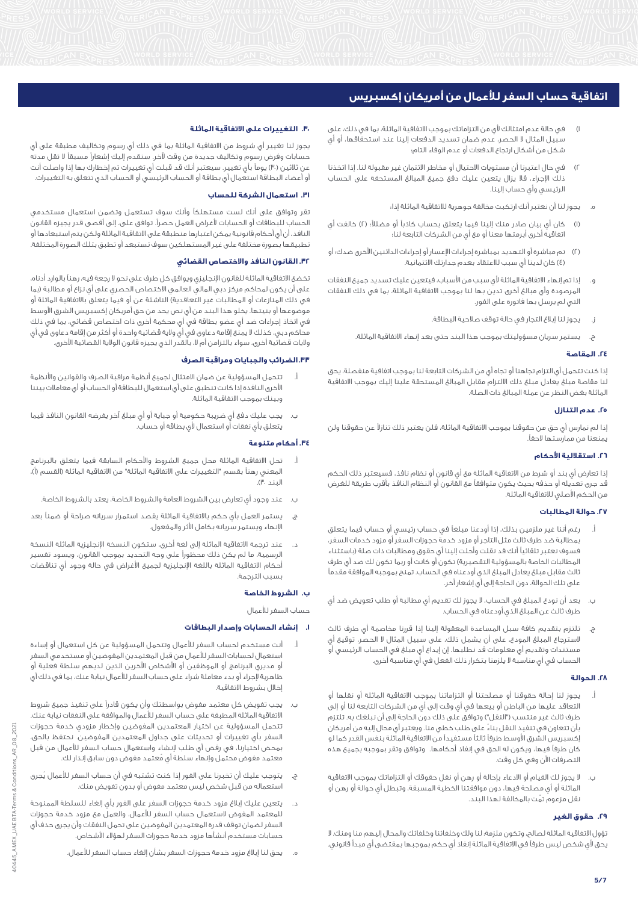- 1( في حالة عدم امتثالك ألي من التزاماتك بموجب االتفاقية الماثلة، بما في ذلك، على سبيل المثال ال الحصر، عدم ضمان تسديد الدفعات إلينا عند استحقاقها، أو أي شكل من أشكال ارتجاع الدفعات أو عدم الوفاء التام؛
- 2( في حال اعتبرنا أن مستويات االحتيال أو مخاطر االئتمان غير مقبولة لنا. إذا اتخذنا ذلك اإلجراء، فال يزال يتعين عليك دفع جميع المبالغ المستحقة على الحساب الرئيسي وأي حساب إلينا.
	- يجوز لنا أن نعتبر أنك ارتكبت مخالفة جوهرية للاتفاقية الماثلة إذا؛
- (ا) كان أي بيان صادر منك إلينا فيما يتعلق بحساب كاذباً أو مضللاً؛ (٢) خالفت أي اتفاقية أخرى أبرمتها معنا أو مع أي من الشركات التابعة لنا؛
- )2( تم مباشرة أو التهديد بمباشرة إجراءات اإلعسار أو إجراءات الدائنين األخرى ضدك؛ أو )4( كان لدينا أي سبب لالعتقاد بعدم جدارتك االئتمانية.
- و. إذا تم إنهاء االتفاقية الماثلة ألي سبب من األسباب، فيتعين عليك تسديد جميع النفقات المرصودة وأي مبالغ أخرى تدين بها لنا بموجب االتفاقية الماثلة، بما في ذلك النفقات التي لم يرسل بها فاتورة على الفور.
	- ز. يجوز لنا إبالغ التجار في حالة توقف صالحية البطاقة.
	- ح. يستمر سريان مسؤوليتك بموجب هذا البند حتى بعد إنهاء االتفاقية الماثلة.

## **.24 المقاصة**

إذا كنت تتحمل أي التزام تجاهنا أو تجاه أيٍ من الشركات التابعة لنا بموجب اتفاقية منفصلة، يحق لنا مقاصة مبلغ يعادل مبلغ ذلك االلتزام مقابل المبالغ المستحقة علينا إليك بموجب االتفاقية الماثلة بغض النظر عن عملة المبالغ ذات الصلة.

# **.25 عدم التنازل**

إذا لم نمارس أي حق من حقوقنا بموجب االتفاقية الماثلة، فلن يعتبر ذلك تنازالً عن حقوقنا ولن يمنعنا من ممارستها الحقا.ً

# **.26 استقاللية األحكام**

إذا تعارض أي بند أو شرط من االتفاقية الماثلة مع أي قانون أو نظام نافذ، فسيعتبر ذلك الحكم قد جرى تعديله أو حذفه بحيث يكون متوافقاً مع القانون أو النظام النافذ بأقرب طريقة للغرض من الحكم األصلي لالتفاقية الماثلة.

# **.27 حوالة المطالبات**

- أ. رغم أننا غير ملزمين بذلك، إذا أودعنا مبلغاً في حساب رئيسي أو حساب فيما يتعلق بمطالبة ضد طرف ثالث مثل التاجر أو مزود خدمة حجوزات السفر أو مزود خدمات السفر، فسوف نعتبر تلقائياً أنك قد نقلت وأحلت إلينا أي حقوق ومطالبات ذات صلة )باستثناء المطالبات الخاصة بالمسؤولية التقصيرية) تكون أو كانت أو ربما تكون لك ضد أي طرف ثالث مقابل مبلغ يعادل المبلغ الذي أودعناه في الحساب. تمنح بموجبه الموافقة مقدماً على تلك الحوالة، دون الحاجة إلى أي إشعار آخر.
- ب. بعد أن نودع المبلغ في الحساب، ال يجوز لك تقديم أي مطالبة أو طلب تعويض ضد أي طرف ثالث عن المبلغ الذي أودعناه في الحساب.
- ج. تلتزم بتقديم كافة سبل المساعدة المعقولة إلينا إذا قررنا مخاصمة أي طرف ثالث السترجاع المبلغ المودع، على أن يشمل ذلك، على سبيل المثال ال الحصر، توقيع أي مستندات وتقديم أي معلومات قد نطلبها. إن إيداع أي مبلغ في الحساب الرئيسي أو الحساب في أي مناسبة ال يلزمنا بتكرار ذلك الفعل في أي مناسبة أخرى.

# **.28 الحوالة**

- أ. يجوز لنا إحالة حقوقنا أو مصلحتنا أو التزاماتنا بموجب االتفاقية الماثلة أو نقلها أو التعاقد عليها من الباطن أو بيعها في أي وقت إلى أي من الشركات التابعة لنا أو إلى طرف ثالث غير منتسب ("النقل") وتوافق على ذلك دون الحاجة إلى أن نبلغك به. تلتزم بأن تتعاون في تنفيذ النقل بناءً على طلب خطي منا. ويعتبر أي محال إليه من أمريكان إكسبريس الشرق األوسط طرفاً ثالثاً مستفيداً من االتفاقية الماثلة بنفس القدر كما لو كان طرفاً فيها، ويكون له الحق في إنفاذ أحكامها. وتوافق وتقر بموجبه بجميع هذه التصرفات اآلن وفي كل وقت.
- ب. ال يجوز لك القيام أو االدعاء بإحالة أو رهن أو نقل حقوقك أو التزاماتك بموجب االتفاقية الماثلة أو أي مصلحة فيها، دون موافقتنا الخطية المسبقة، وتبطل أي حوالة أو رهن أو نقل مزعوم تمّت بالمخالفة لهذا البند.

# **.29 حقوق الغير**

تؤول االتفاقية الماثلة لصالح، وتكون ملزمة: لنا ولك وخلفائنا وخلفائك والمحال إليهم منا ومنك. ال يحق ألي شخص ليس طرفاً في االتفاقية الماثلة إنفاذ أي حكم بموجبها بمقتضى أي مبدأ قانوني.

# **.30 التغييرات على االتفاقية الماثلة**

يجوز لنا تغيير أي شروط من االتفاقية الماثلة بما في ذلك أي رسوم وتكاليف مطبقة على أي حسابات وفرض رسوم وتكاليف جديدة من وقت آلخر. سنقدم إليك إشعاراً مسبقاً ال تقل مدته عن ثلاثين (٣٠) يوماً بأي تغيير. سيعتبر أنك قد قبلت أي تغييرات تم إخطارك بها إذا واصلت أنت أو أعضاء البطاقة استعمال أي بطاقة أو الحساب الرئيسي أو الحساب الذي تتعلق به التغييرات.

## **.31 استعمال الشركة للحساب**

تقر وتوافق على أنك لست مستهلكاً وأنك سوف تستعمل وتضمن استعمال مستخدمي الحساب للبطاقات أو الحسابات ألغراض العمل حصرا.ً توافق على، إلى أقصى قدر يجيزه القانون النافذ، أن أي أحكام قانونية يمكن اعتبارها منطبقة على االتفاقية الماثلة ولكن يتم استبعادها أو تطبيقها بصورة مختلفة على غير المستهلكين سوف تستبعد أو تطبق بتلك الصورة المختلفة.

# **.32 القانون النافذ واالختصاص القضائي**

تخضع االتفاقية الماثلة للقانون اإلنجليزي ويوافق كل طرف على نحو ال رجعة فيه، رهناً بالوارد أدناه، على أن يكون لمحاكم مركز دبي المالي العالمي الاختصاص الحصري على أي نزاع أو مطالبة (بما .<br>في ذلك المنازعات أو المطالبات غير التعاقدية) الناشئة عن أو فيما يتعلق بالاتفاقية الماثلة أو موضوعها أو بنيتها. يخلو هذا البند من أي نص يحد من حق أمريكان إكسبريس الشرق الأوسط في اتخاذ إجراءات ضد أي عضو بطاقة في أي محكمة أخرى ذات اختصاص قضائي، بما في ذلك محاكم دبي، كذلك ال يمنع إقامة دعاوى في أي والية قضائية واحدة أو أكثر من إقامة دعاوى في أي واليات قضائية أخرى، سواء بالتزامن أم ال، بالقدر الذي يجيزه قانون الوالية القضائية األخرى.

# **.33الضرائب والجبايات ومراقبة الصرف**

- تتحمل المسؤولية عن ضمان الامتثال لجميع أنظمة مراقبة الصرف والقوانين والأنظمة األخرى النافذة إذا كانت تنطبق على أي استعمال للبطاقة أو الحساب أو أي معامالت بيننا وبينك بموجب االتفاقية الماثلة.
- ب. يجب عليك دفع أي ضريبة حكومية أو جباية أو أي مبلغ آخر يفرضه القانون النافذ فيما يتعلق بأي نفقات أو استعمال ألي بطاقة أو حساب.

## **.34 أحكام متنوعة**

- تحل الاتفاقية الماثلة محل جميع الشروط والأحكام السابقة فيما يتعلق بالبرنامج المعني رهناً بقسم "التغييرات على الاتفاقية الماثلة" من الاتفاقية الماثلة (القسم (أ)، البند ۳۰).
	- ب. عند وجود أي تعارض بين الشروط العامة والشروط الخاصة، يعتد بالشروط الخاصة.
- ج. يستمر العمل بأي حكم باالتفاقية الماثلة يقصد استمرار سريانه صراحة أو ضمناً بعد اإلنهاء ويستمر سريانه بكامل األثر والمفعول.
- د. عند ترجمة االتفاقية الماثلة إلى لغة أخرى، ستكون النسخة اإلنجليزية الماثلة النسخة الرسمية، ما لم يكن ذلك محظوراً على وجه التحديد بموجب القانون، ويسود تفسير أحكام االتفاقية الماثلة باللغة اإلنجليزية لجميع األغراض في حالة وجود أي تناقضات بسبب الترجمة.

# **ب. الشروط الخاصة**

حساب السفر لألعمال

#### **.1 إنشاء الحسابات وإصدار البطاقات**

- أ. أنت مستخدم لحساب السفر لألعمال وتتحمل المسؤولية عن كل استعمال أو إساءة استعمال لحسابات السفر لألعمال من قبل المعتمدين المفوضين أو مستخدمي السفر أو مديري البرنامج أو الموظفين أو األشخاص اآلخرين الذين لديهم سلطة فعلية أو ظاهرية إلجراء أو بدء معاملة شراء على حساب السفر لألعمال نيابة عنك، بما في ذلك أي إخالل بشروط االتفاقية.
- ب. يجب تفويض كل معتمد مفوض بواسطتك وأن يكون قادراً على تنفيذ جميع شروط االتفاقية الماثلة المطبقة على حساب السفر لألعمال والموافقة على النفقات نيابة عنك. تتحمل المسؤولية عن اختيار المعتمدين المفوضين وإخطار مزودي خدمة حجوزات السفر بأي تغييرات أو تحديثات على جداول المعتمدين المفوضين. نحتفظ بالحق، بمحض اختيارنا، في رفض أي طلب إلنشاء واستعمال حساب السفر لألعمال من قبل معتمد مفوض محتمل وإنهاء سلطة أي مُ عتمد مفوض دون سابق إنذار لك.
- ج. يتوجب عليك أن تخبرنا على الفور إذا كنت تشتبه في أن حساب السفر لألعمال يُجرى استعماله من قبل شخص ليس معتمد مفوض أو بدون تفويض منك.
- د. يتعين عليك إبالغ مزود خدمة حجوزات السفر على الفور بأي إلغاء للسلطة الممنوحة للمعتمد المفوض الستعمال حساب السفر لألعمال، والعمل مع مزود خدمة حجوزات السفر لضمان توقف قدرة المعتمدين المفوضين على تحمل النفقات وأن يجرى حذف أي حسابات مستخدم أنشأها مزود خدمة حجوزات السفر لهؤالء األشخاص.
	- ه. يحق لنا إبالغ مزود خدمة حجوزات السفر بشأن إلغاء حساب السفر لألعمال.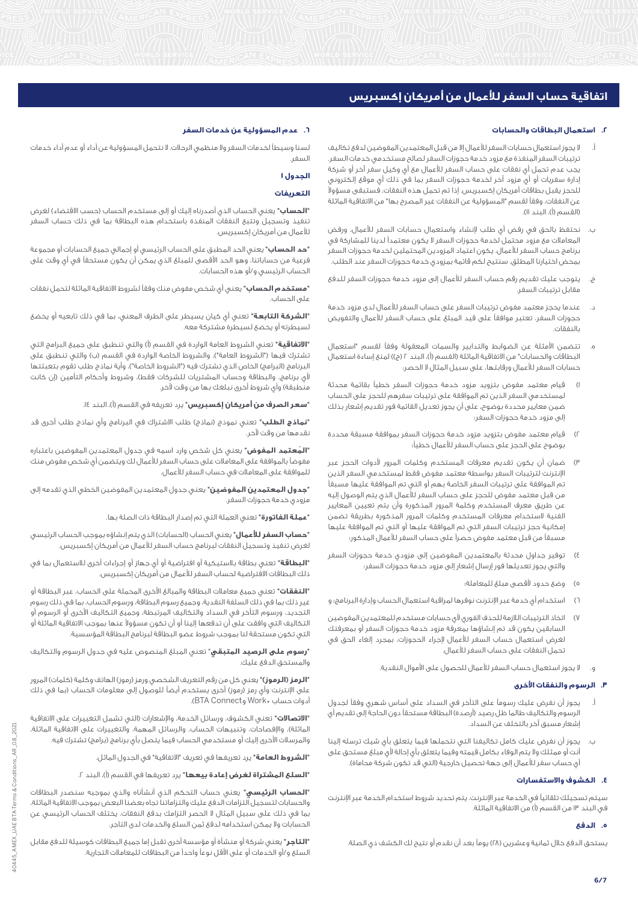## **.2 استعمال البطاقات والحسابات**

- أ. ال يجوز استعمال حسابات السفر لألعمال إال من قبل المعتمدين المفوضين لدفع تكاليف ترتيبات السفر المنفذة مع مزود خدمة حجوزات السفر لصالح مستخدمي خدمات السفر. يجب عدم تحمل أي نفقات على حساب السفر لألعمال مع أي وكيل سفر آخر أو شركة إدارة سفريات أو أي مزود آخر لخدمة حجوزات السفر بما في ذلك أي موقع إلكتروني للحجز يقبل بطاقات أمريكان إكسبريس. إذا تم تحمل هذه النفقات، فستبقى مسؤوالً عن النفقات، وفقاً لقسم "المسؤولية عن النفقات غير المصرح بها" من االتفاقية الماثلة (القسم (أ)، البند اا).
- ب. نحتفظ بالحق في رفض أي طلب إلنشاء واستعمال حسابات السفر لألعمال، ورفض المعامالت مع مزود محتمل لخدمة حجوزات السفر ال يكون معتمداً لدينا للمشاركة في برنامج حساب السفر لألعمال. يكون اعتماد المزودين المحتملين لخدمة حجوزات السفر بمحض اختيارنا المطلق. سنتيح لكم قائمة بمزودي خدمة حجوزات السفر عند الطلب.
- ج. يتوجب عليك تقديم رقم حساب السفر لألعمال إلى مزود خدمة حجوزات السفر للدفع مقابل ترتيبات السفر.
- د. عندما يحجز معتمد مفوض ترتيبات السفر على حساب السفر لألعمال لدى مزود خدمة حجوزات السفر، تعتبر موافقاً على قيد المبلغ على حساب السفر لألعمال والتفويض بالنفقات.
- ه. تتضمن األمثلة عن الضوابط والتدابير والسمات المعقولة وفقاً لقسم "استعمال البطاقات والحسابات" من الاتفاقية الماثلة (القسم (أ)، البند ٢ (ج)) لمنع إساءة استعمال حسابات السفر لألعمال ورقابتها، على سبيل المثال ال الحصر:
- 1( قيام معتمد مفوض بتزويد مزود خدمة حجوزات السفر خطياً بقائمة محدثة لمستخدمي السفر الذين تم الموافقة على ترتيبات سفرهم للحجز على الحساب ضمن معايير محددة بوضوح، على أن يجوز تعديل القائمة فور تقديم إشعار بذلك إلى مزود خدمة حجوزات السفر؛
- 2( قيام معتمد مفوض بتزويد مزود خدمة حجوزات السفر بموافقة مسبقة محددة بوضوح على الحجز على حساب السفر لألعمال خطياً؛
- 3( ضمان أن يكون تقديم معرفات المستخدم وكلمات المرور ألدوات الحجز عبر اإلنترنت لترتيبات السفر بواسطة معتمد مفوض فقط لمستخدمي السفر الذين تم الموافقة على ترتيبات السفر الخاصة بهم أو التي تم الموافقة عليها مسبقاً من قبل معتمد مفوض للحجز على حساب السفر لألعمال الذي يتم الوصول إليه عن طريق معرف المستخدم وكلمة المرور المذكورة وأن يتم تعيين المعايير الفنية الستخدام معرفات المستخدم وكلمات المرور المذكورة بطريقة تضمن إمكانية حجز ترتيبات السفر التي تم الموافقة عليها أو التي تم الموافقة عليها مسبقاً من قبل معتمد مفوض حصراً على حساب السفر لألعمال المذكور؛
- 4( توفير جداول محدثة بالمعتمدين المفوضين إلى مزودي خدمة حجوزات السفر والتي يجوز تعديلها فور إرسال إشعار إلى مزود خدمة حجوزات السفر؛
	- 5( وضع حدود ألقصى مبلغ للمعاملة؛
- 6( استخدام أي خدمة عبر اإلنترنت نوفرها لمراقبة استعمال الحساب وإدارة البرنامج؛ و
- 7( اتخاذ الترتيبات الالزمة للحذف الفوري ألي حسابات مستخدم للمعتمدين المفوضين السابقين يكون قد تم إنشاؤها بمعرفة مزود خدمة حجوزات السفر أو بمعرفتك لغرض استعمال حساب السفر لألعمال إلجراء الحجوزات، بمجرد إلغاء الحق في تحمل النفقات على حساب السفر لألعمال.
	- و. ال يجوز استعمال حساب السفر لألعمال للحصول على األموال النقدية.

# **.3 الرسوم والنفقات األخرى**

- أ. يجوز أن نفرض عليك رسوماً على التأخر في السداد على أساس شهري وفقاً لجدول الرسوم والتكاليف طالما ظل رصيد (أرصدة) البطاقة مستحقاً دون الحاجة إلى تقديم أي إشعار مسبق آخر بالتخلف عن السداد.
- ب. يجوز أن نفرض عليك كامل تكاليفنا التي نتحملها فيما يتعلق بأي شيك ترسله إلينا أنت أو ممثلك وال يتم الوفاء بكامل قيمته وفيما يتعلق بأي إحالة ألي مبلغ مستحق على أي حساب سفر للأعمال إلى جهة تحصيل خارجية (التي قد تكون شركة محاماة).

# **.4 الكشوف واالستفسارات**

سيتم تسجيلك تلقائياً في الخدمة عبر اإلنترنت. يتم تحديد شروط استخدام الخدمة عبر اإلنترنت في البند ١٣ من القسم (أ) من الاتفاقية الماثلة.

# **.5 الدفع**

يستحق الدفع خلال ثمانية وعشرين (٢٨) يوماً بعد أن نقدم أو نتيح لك الكشف ذي الصلة.

# **.6 عدم المسؤولية عن خدمات السفر**

لسنا وسيطاً لخدمات السفر وال منظمي الرحالت. ال نتحمل المسؤولية عن أداء أو عدم أداء خدمات السفر.

# **الجدول 1**

#### **التعريفات**

**"الحساب"** يعني الحساب الذي أصدرناه إليك أو إلى مستخدم الحساب (حسب الاقتضاء) لغرض تنفيذ وتسجيل وتتبع النفقات المنفذة باستخدام هذه البطاقة بما في ذلك حساب السفر لألعمال من أمريكان إكسبريس.

**"حد الحساب"** يعني الحد المطبق على الحساب الرئيسي أو إجمالي جميع الحسابات أو مجموعة فرعية من حساباتنا، وهو الحد األقصى للمبلغ الذي يمكن أن يكون مستحقاً في أي وقت على الحساب الرئيسي و/أو هذه الحسابات.

**"مستخدم الحساب"** يعني أي شخص مفوض منك وفقاً لشروط االتفاقية الماثلة لتحمل نفقات على الحساب.

**"الشركة التابعة"** تعني أي كيان يسيطر على الطرف المعني، بما في ذلك تابعيه أو يخضع لسيطرته أو يخضع لسيطرة مشتركة معه.

**"الاتفاقية"** تعني الشروط العامة الواردة في القسم (أ) والتي تنطبق على جميع البرامج التي تشترك فيها ("الشروط العامة")، والشروط الخاصة الواردة في القسم (ب) والتي تنطبق على البرنامج (البرامج) الخاص الذي تشترك فيه ("الشروط الخاصة")، وأية نماذج طلب تقوم بتعبئتها لأي برنامج، والبطاقة وحساب المشتريات للشركات فقط)، وشروط وأحكام التأمين (إن كانت منطبقة) وأي شروط أخرى نبلغك بها من وقت لآخر.

**"سعر الصرف من أمريكان إكسبريس"** يرد تعريفه في القسم )أ(، البند .14

**"نماذج الطلب"** تعني نموذج (نماذج) طلب الاشتراك في البرنامج وأي نماذج طلب أخرى قد نقدمها من وقت آلخر.

**"المُ عتمد المفوض"** يعني كل شخص وارد اسمه في جدول المعتمدين المفوضين باعتباره مفوضاً بالموافقة على المعامالت على حساب السفر لألعمال لك ويتضمن أي شخص مفوض منك للموافقة على المعامالت في حساب السفر لألعمال.

**"جدول المعتمدين المفوضين"** يعني جدول المعتمدين المفوضين الخطي الذي تقدمه إلى مزودي خدمة حجوزات السفر.

**"عملة الفاتورة"** تعني العملة التي تم إصدار البطاقة ذات الصلة بها.

**"حساب السفر للأعمال"** يعنى الحساب (الحسابات) الذي يتم إنشاؤه بموجب الحساب الرئيسي لغرض تنفيذ وتسجيل النفقات لبرنامج حساب السفر للأعمال من أمريكان إكسبريس.

**"البطاقة"** تعني بطاقة بالستيكية أو افتراضية أو أي جهاز أو إجراءات أخرى لالستعمال بما في ذلك البطاقات االفتراضية لحساب السفر لألعمال من أمريكان إكسبريس.

**"النفقات"** تعني جميع معامالت البطاقة والمبالغ األخرى المحملة على الحساب، عبر البطاقة أو غير ذلك بما في ذلك السلفة النقدية، وجميع رسوم البطاقة، ورسوم الحساب، بما في ذلك رسوم التجديد، ورسوم التأخر في السداد والتكاليف المرتبطة، وجميع التكاليف األخرى أو الرسوم أو التكاليف التي وافقت على أن تدفعها إلينا أو أن تكون مسؤوالً عنها بموجب االتفاقية الماثلة أو التي تكون مستحقة لنا بموجب شروط عضو البطاقة لبرنامج البطاقة المؤسسية.

**"رسوم على الرصيد المتبقي**" تعني المبلغ المنصوص عليه في جدول الرسوم والتكاليف والمستحق الدفع عليك.

<mark>"الرمز (الرموز)"</mark> يعني كل من رقم التعريف الشخصي ورمز (رموز) الهاتف وكلمة (كلمات) المرور على الإنترنت وأي رمز (رموز) أخرى يستخدم أيضاً للوصول إلى معلومات الحساب (بما في ذلك أدوات حساب @Work وConnect BTA).

**"االتصاالت"** تعني الكشوف، ورسائل الخدمة، واإلشعارات )التي تشمل التغييرات على االتفاقية الماثلة)، والإفصاحات، وتنبيهات الحساب، والرسائل المهمة، والتغييرات على الاتفاقية الماثلة، والمرسلات الأخرى إليك أو مستخدمي الحساب فيما يتصل بأي برنامج (برامج) تشترك فيه.

**"الشروط العامة"** يرد تعريفها في تعريف "االتفاقية" في الجدول الماثل.

**"السلع المشتراة لغرض إعادة بيعها"** يرد تعريفها في القسم (أ)، البند ٢.

**"الحساب الرئيسي"** يعني حساب التحكم الذي أنشأناه والذي بموجبه سنصدر البطاقات والحسابات لتسجيل التزامات الدفع عليك والتزاماتنا تجاه بعضنا البعض بموجب االتفاقية الماثلة، بما في ذلك على سبيل المثال ال الحصر التزامك بدفع النفقات. يختلف الحساب الرئيسي عن الحسابات وال يمكن استخدامه لدفع ثمن السلع والخدمات لدى التاجر.

**"التاجر"** يعني شركة أو منشأة أو مؤسسة أخرى تقبل إما جميع البطاقات كوسيلة للدفع مقابل السلع و/أو الخدمات أو على األقل نوعاً واحداً من البطاقات للمعامالت التجارية.